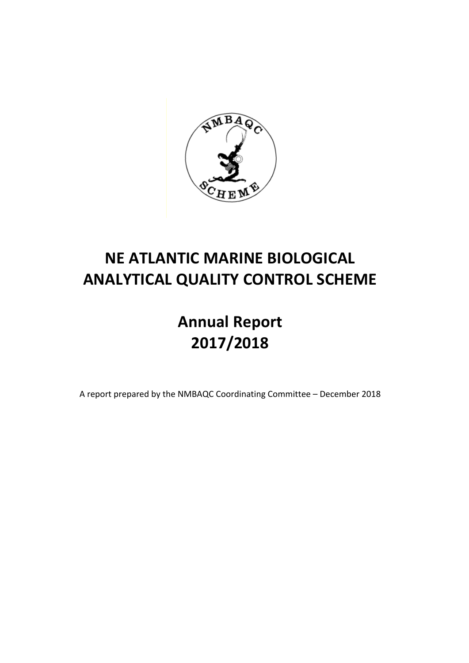

## **NE ATLANTIC MARINE BIOLOGICAL ANALYTICAL QUALITY CONTROL SCHEME**

# **Annual Report 2017/2018**

A report prepared by the NMBAQC Coordinating Committee - December 2018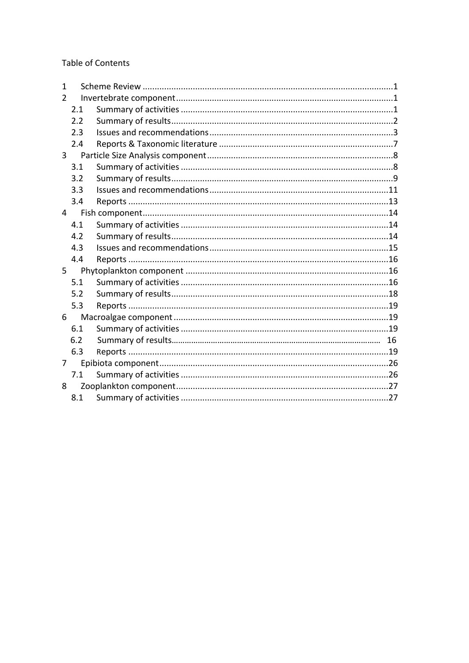**Table of Contents** 

| $\mathbf{1}$   |     |  |
|----------------|-----|--|
| $\mathcal{P}$  |     |  |
|                | 2.1 |  |
|                | 2.2 |  |
|                | 2.3 |  |
|                | 2.4 |  |
| $\overline{3}$ |     |  |
|                | 3.1 |  |
|                | 3.2 |  |
|                | 3.3 |  |
|                | 3.4 |  |
| $\overline{4}$ |     |  |
|                | 4.1 |  |
|                | 4.2 |  |
|                | 4.3 |  |
|                | 4.4 |  |
| 5              |     |  |
|                | 5.1 |  |
|                | 5.2 |  |
|                | 5.3 |  |
| 6              |     |  |
|                | 6.1 |  |
|                | 6.2 |  |
|                | 6.3 |  |
| 7              |     |  |
|                | 7.1 |  |
| 8              |     |  |
|                | 8.1 |  |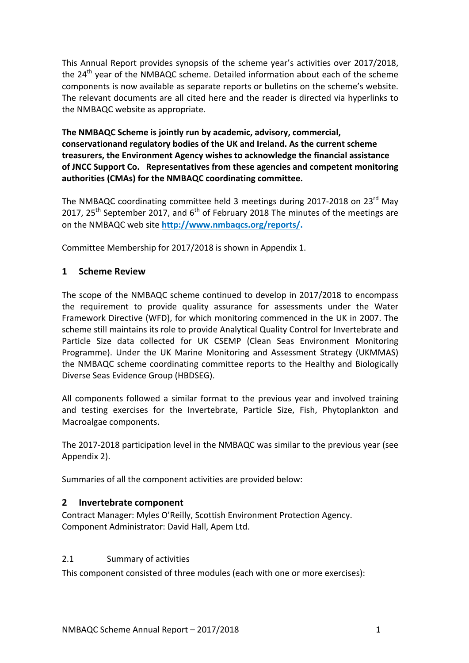This Annual Report provides synopsis of the scheme year's activities over 2017/2018, the 24<sup>th</sup> year of the NMBAQC scheme. Detailed information about each of the scheme components is now available as separate reports or bulletins on the scheme's website. The relevant documents are all cited here and the reader is directed via hyperlinks to the NMBAQC website as appropriate.

The NMBAQC Scheme is jointly run by academic, advisory, commercial, conservationand regulatory bodies of the UK and Ireland. As the current scheme treasurers, the Environment Agency wishes to acknowledge the financial assistance of JNCC Support Co. Representatives from these agencies and competent monitoring authorities (CMAs) for the NMBAQC coordinating committee.

The NMBAQC coordinating committee held 3 meetings during 2017-2018 on 23 $^{rd}$  May 2017, 25<sup>th</sup> September 2017, and  $6<sup>th</sup>$  of February 2018 The minutes of the meetings are on the NMBAQC web site http://www.nmbagcs.org/reports/.

Committee Membership for 2017/2018 is shown in Appendix 1.

## **1 Scheme Review**

The scope of the NMBAQC scheme continued to develop in 2017/2018 to encompass the requirement to provide quality assurance for assessments under the Water Framework Directive (WFD), for which monitoring commenced in the UK in 2007. The scheme still maintains its role to provide Analytical Quality Control for Invertebrate and Particle Size data collected for UK CSEMP (Clean Seas Environment Monitoring Programme). Under the UK Marine Monitoring and Assessment Strategy (UKMMAS) the NMBAQC scheme coordinating committee reports to the Healthy and Biologically Diverse Seas Evidence Group (HBDSEG).

All components followed a similar format to the previous year and involved training and testing exercises for the Invertebrate, Particle Size, Fish, Phytoplankton and Macroalgae components.

The 2017-2018 participation level in the NMBAQC was similar to the previous year (see Appendix 2).

Summaries of all the component activities are provided below:

## **2 Invertebrate component**

Contract Manager: Myles O'Reilly, Scottish Environment Protection Agency. Component Administrator: David Hall, Apem Ltd.

#### 2.1 Summary of activities

This component consisted of three modules (each with one or more exercises):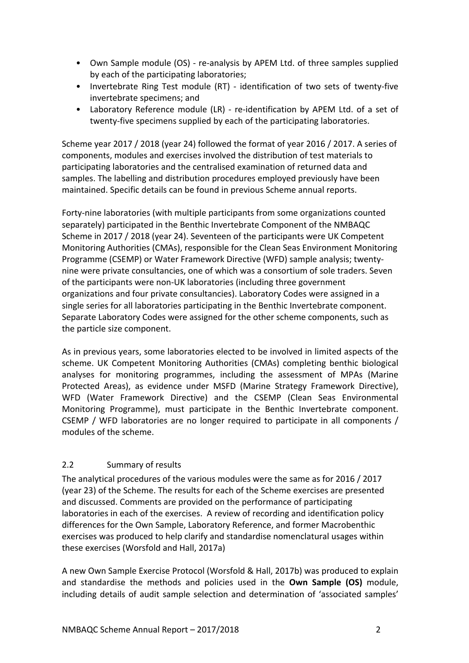- Own Sample module (OS) re-analysis by APEM Ltd. of three samples supplied by each of the participating laboratories;
- Invertebrate Ring Test module (RT) identification of two sets of twenty-five invertebrate specimens; and
- Laboratory Reference module (LR) re-identification by APEM Ltd. of a set of twenty-five specimens supplied by each of the participating laboratories.

Scheme year 2017 / 2018 (year 24) followed the format of year 2016 / 2017. A series of components, modules and exercises involved the distribution of test materials to participating laboratories and the centralised examination of returned data and samples. The labelling and distribution procedures employed previously have been maintained. Specific details can be found in previous Scheme annual reports.

Forty-nine laboratories (with multiple participants from some organizations counted separately) participated in the Benthic Invertebrate Component of the NMBAQC Scheme in 2017 / 2018 (year 24). Seventeen of the participants were UK Competent Monitoring Authorities (CMAs), responsible for the Clean Seas Environment Monitoring Programme (CSEMP) or Water Framework Directive (WFD) sample analysis; twentynine were private consultancies, one of which was a consortium of sole traders. Seven of the participants were non-UK laboratories (including three government organizations and four private consultancies). Laboratory Codes were assigned in a single series for all laboratories participating in the Benthic Invertebrate component. Separate Laboratory Codes were assigned for the other scheme components, such as the particle size component.

As in previous years, some laboratories elected to be involved in limited aspects of the scheme. UK Competent Monitoring Authorities (CMAs) completing benthic biological analyses for monitoring programmes, including the assessment of MPAs (Marine Protected Areas), as evidence under MSFD (Marine Strategy Framework Directive), WFD (Water Framework Directive) and the CSEMP (Clean Seas Environmental Monitoring Programme), must participate in the Benthic Invertebrate component. CSEMP / WFD laboratories are no longer required to participate in all components / modules of the scheme.

## 2.2 Summary of results

The analytical procedures of the various modules were the same as for 2016 / 2017 (year 23) of the Scheme. The results for each of the Scheme exercises are presented and discussed. Comments are provided on the performance of participating laboratories in each of the exercises. A review of recording and identification policy differences for the Own Sample, Laboratory Reference, and former Macrobenthic exercises was produced to help clarify and standardise nomenclatural usages within these exercises (Worsfold and Hall, 2017a)

A new Own Sample Exercise Protocol (Worsfold & Hall, 2017b) was produced to explain and standardise the methods and policies used in the **Own Sample (OS)** module, including details of audit sample selection and determination of 'associated samples'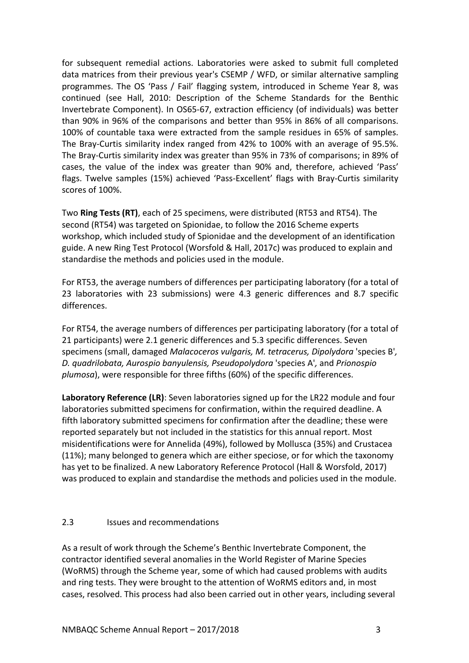for subsequent remedial actions. Laboratories were asked to submit full completed data matrices from their previous year's CSEMP / WFD, or similar alternative sampling programmes. The OS 'Pass / Fail' flagging system, introduced in Scheme Year 8, was continued (see Hall, 2010: Description of the Scheme Standards for the Benthic Invertebrate Component). In OS65-67, extraction efficiency (of individuals) was better than 90% in 96% of the comparisons and better than 95% in 86% of all comparisons. 100% of countable taxa were extracted from the sample residues in 65% of samples. The Bray-Curtis similarity index ranged from 42% to 100% with an average of 95.5%. The Bray-Curtis similarity index was greater than 95% in 73% of comparisons; in 89% of cases, the value of the index was greater than 90% and, therefore, achieved 'Pass' flags. Twelve samples (15%) achieved 'Pass-Excellent' flags with Bray-Curtis similarity scores of 100%.

Two Ring Tests (RT), each of 25 specimens, were distributed (RT53 and RT54). The second (RT54) was targeted on Spionidae, to follow the 2016 Scheme experts workshop, which included study of Spionidae and the development of an identification guide. A new Ring Test Protocol (Worsfold & Hall, 2017c) was produced to explain and standardise the methods and policies used in the module.

For RT53, the average numbers of differences per participating laboratory (for a total of 23 laboratories with 23 submissions) were 4.3 generic differences and 8.7 specific differences.

For RT54, the average numbers of differences per participating laboratory (for a total of 21 participants) were 2.1 generic differences and 5.3 specific differences. Seven specimens (small, damaged *Malacoceros vulgaris, M. tetracerus, Dipolydora* 'species B', *D. quadrilobata, Aurospio banyulensis, Pseudopolydora* 'species A'*,* and *Prionospio plumosa*), were responsible for three fifths (60%) of the specific differences.

**Laboratory Reference (LR)**: Seven laboratories signed up for the LR22 module and four laboratories submitted specimens for confirmation, within the required deadline. A fifth laboratory submitted specimens for confirmation after the deadline; these were reported separately but not included in the statistics for this annual report. Most misidentifications were for Annelida (49%), followed by Mollusca (35%) and Crustacea (11%); many belonged to genera which are either speciose, or for which the taxonomy has yet to be finalized. A new Laboratory Reference Protocol (Hall & Worsfold, 2017) was produced to explain and standardise the methods and policies used in the module.

## 2.3 **Issues and recommendations**

As a result of work through the Scheme's Benthic Invertebrate Component, the contractor identified several anomalies in the World Register of Marine Species (WoRMS) through the Scheme year, some of which had caused problems with audits and ring tests. They were brought to the attention of WoRMS editors and, in most cases, resolved. This process had also been carried out in other years, including several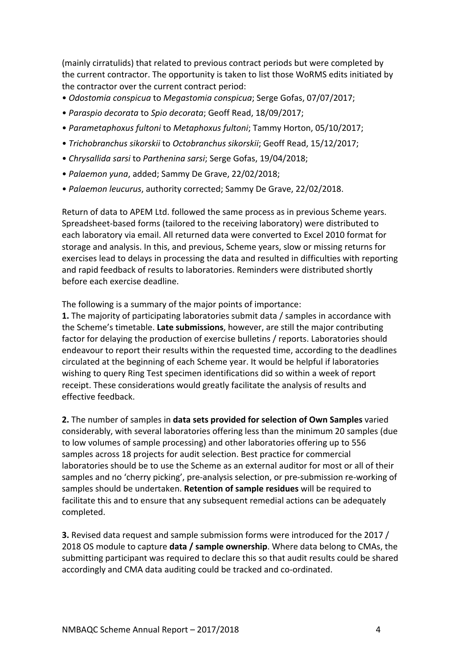(mainly cirratulids) that related to previous contract periods but were completed by the current contractor. The opportunity is taken to list those WoRMS edits initiated by the contractor over the current contract period:

- • *Odostomia conspicua* to *Megastomia conspicua*; Serge Gofas, 07/07/2017;
- • *Paraspio decorata* to *Spio decorata*; Geoff Read, 18/09/2017;
- • *Parametaphoxus fultoni* to *Metaphoxus fultoni*; Tammy Horton, 05/10/2017;
- • *Trichobranchus sikorskii* to *Octobranchus sikorskii*; Geoff Read, 15/12/2017;
- • *Chrysallida sarsi* to *Parthenina sarsi*; Serge Gofas, 19/04/2018;
- • *Palaemon yuna*, added; Sammy De Grave, 22/02/2018;
- *Palaemon leucurus*, authority corrected; Sammy De Grave, 22/02/2018.

Return of data to APEM Ltd. followed the same process as in previous Scheme years. Spreadsheet-based forms (tailored to the receiving laboratory) were distributed to each laboratory via email. All returned data were converted to Excel 2010 format for storage and analysis. In this, and previous, Scheme years, slow or missing returns for exercises lead to delays in processing the data and resulted in difficulties with reporting and rapid feedback of results to laboratories. Reminders were distributed shortly before each exercise deadline.

The following is a summary of the major points of importance:

**1.** The majority of participating laboratories submit data / samples in accordance with the Scheme's timetable. Late submissions, however, are still the major contributing factor for delaying the production of exercise bulletins / reports. Laboratories should endeavour to report their results within the requested time, according to the deadlines circulated at the beginning of each Scheme year. It would be helpful if laboratories wishing to query Ring Test specimen identifications did so within a week of report receipt. These considerations would greatly facilitate the analysis of results and effective feedback.

**2.** The number of samples in data sets provided for selection of Own Samples varied considerably, with several laboratories offering less than the minimum 20 samples (due to low volumes of sample processing) and other laboratories offering up to 556 samples across 18 projects for audit selection. Best practice for commercial laboratories should be to use the Scheme as an external auditor for most or all of their samples and no 'cherry picking', pre-analysis selection, or pre-submission re-working of samples should be undertaken. **Retention of sample residues** will be required to facilitate this and to ensure that any subsequent remedial actions can be adequately completed. 

**3.** Revised data request and sample submission forms were introduced for the 2017 / 2018 OS module to capture **data / sample ownership**. Where data belong to CMAs, the submitting participant was required to declare this so that audit results could be shared accordingly and CMA data auditing could be tracked and co-ordinated.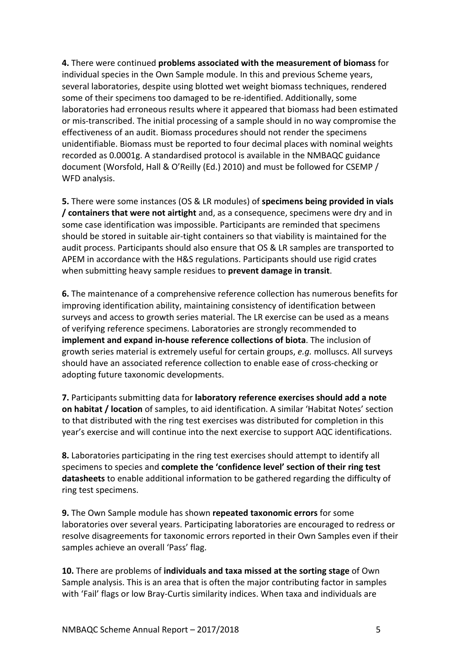**4.** There were continued problems associated with the measurement of biomass for individual species in the Own Sample module. In this and previous Scheme years, several laboratories, despite using blotted wet weight biomass techniques, rendered some of their specimens too damaged to be re-identified. Additionally, some laboratories had erroneous results where it appeared that biomass had been estimated or mis-transcribed. The initial processing of a sample should in no way compromise the effectiveness of an audit. Biomass procedures should not render the specimens unidentifiable. Biomass must be reported to four decimal places with nominal weights recorded as 0.0001g. A standardised protocol is available in the NMBAQC guidance document (Worsfold, Hall & O'Reilly (Ed.) 2010) and must be followed for CSEMP / WFD analysis. 

**5.** There were some instances (OS & LR modules) of specimens being provided in vials **/ containers that were not airtight** and, as a consequence, specimens were dry and in some case identification was impossible. Participants are reminded that specimens should be stored in suitable air-tight containers so that viability is maintained for the audit process. Participants should also ensure that OS & LR samples are transported to APEM in accordance with the H&S regulations. Participants should use rigid crates when submitting heavy sample residues to prevent damage in transit.

**6.** The maintenance of a comprehensive reference collection has numerous benefits for improving identification ability, maintaining consistency of identification between surveys and access to growth series material. The LR exercise can be used as a means of verifying reference specimens. Laboratories are strongly recommended to **implement and expand in-house reference collections of biota**. The inclusion of growth series material is extremely useful for certain groups, e.g. molluscs. All surveys should have an associated reference collection to enable ease of cross-checking or adopting future taxonomic developments.

**7.** Participants submitting data for laboratory reference exercises should add a note **on habitat / location** of samples, to aid identification. A similar 'Habitat Notes' section to that distributed with the ring test exercises was distributed for completion in this year's exercise and will continue into the next exercise to support AQC identifications.

**8.** Laboratories participating in the ring test exercises should attempt to identify all specimens to species and **complete the 'confidence level' section of their ring test datasheets** to enable additional information to be gathered regarding the difficulty of ring test specimens.

**9.** The Own Sample module has shown repeated taxonomic errors for some laboratories over several years. Participating laboratories are encouraged to redress or resolve disagreements for taxonomic errors reported in their Own Samples even if their samples achieve an overall 'Pass' flag.

**10.** There are problems of individuals and taxa missed at the sorting stage of Own Sample analysis. This is an area that is often the major contributing factor in samples with 'Fail' flags or low Bray-Curtis similarity indices. When taxa and individuals are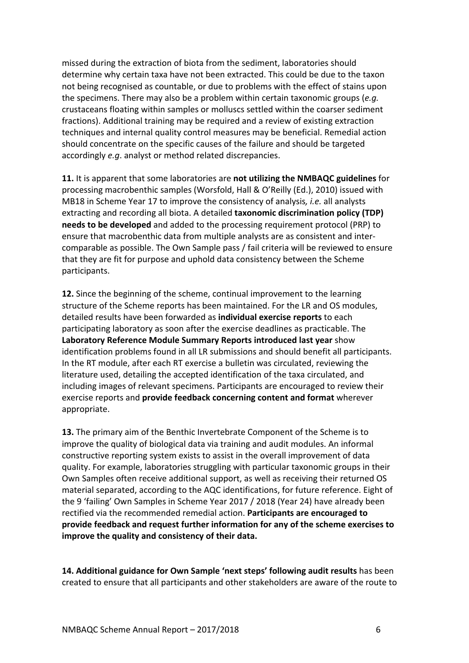missed during the extraction of biota from the sediment, laboratories should determine why certain taxa have not been extracted. This could be due to the taxon not being recognised as countable, or due to problems with the effect of stains upon the specimens. There may also be a problem within certain taxonomic groups (e.g. crustaceans floating within samples or molluscs settled within the coarser sediment fractions). Additional training may be required and a review of existing extraction techniques and internal quality control measures may be beneficial. Remedial action should concentrate on the specific causes of the failure and should be targeted accordingly *e.g.* analyst or method related discrepancies.

**11.** It is apparent that some laboratories are not utilizing the NMBAQC guidelines for processing macrobenthic samples (Worsfold, Hall & O'Reilly (Ed.), 2010) issued with MB18 in Scheme Year 17 to improve the consistency of analysis, *i.e.* all analysts extracting and recording all biota. A detailed **taxonomic discrimination policy (TDP) needs to be developed** and added to the processing requirement protocol (PRP) to ensure that macrobenthic data from multiple analysts are as consistent and intercomparable as possible. The Own Sample pass / fail criteria will be reviewed to ensure that they are fit for purpose and uphold data consistency between the Scheme participants. 

**12.** Since the beginning of the scheme, continual improvement to the learning structure of the Scheme reports has been maintained. For the LR and OS modules, detailed results have been forwarded as *individual* exercise reports to each participating laboratory as soon after the exercise deadlines as practicable. The Laboratory Reference Module Summary Reports introduced last year show identification problems found in all LR submissions and should benefit all participants. In the RT module, after each RT exercise a bulletin was circulated, reviewing the literature used, detailing the accepted identification of the taxa circulated, and including images of relevant specimens. Participants are encouraged to review their exercise reports and **provide feedback concerning content and format** wherever appropriate. 

**13.** The primary aim of the Benthic Invertebrate Component of the Scheme is to improve the quality of biological data via training and audit modules. An informal constructive reporting system exists to assist in the overall improvement of data quality. For example, laboratories struggling with particular taxonomic groups in their Own Samples often receive additional support, as well as receiving their returned OS material separated, according to the AQC identifications, for future reference. Eight of the 9 'failing' Own Samples in Scheme Year 2017 / 2018 (Year 24) have already been rectified via the recommended remedial action. Participants are encouraged to **provide feedback and request further information for any of the scheme exercises to improve the quality and consistency of their data.** 

**14. Additional guidance for Own Sample 'next steps' following audit results** has been created to ensure that all participants and other stakeholders are aware of the route to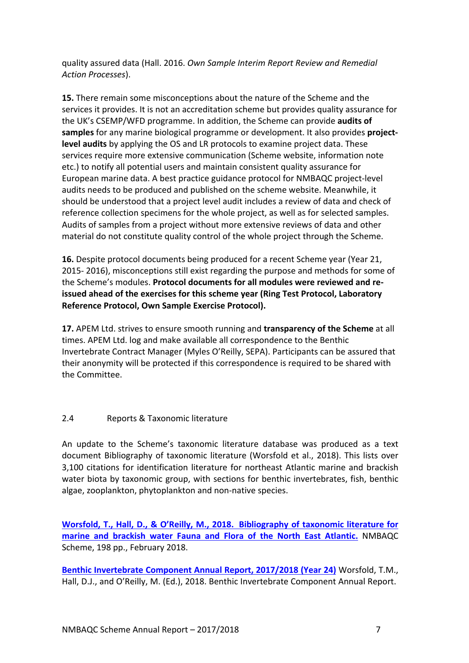quality assured data (Hall. 2016. *Own Sample Interim Report Review and Remedial Action Processes*). 

**15.** There remain some misconceptions about the nature of the Scheme and the services it provides. It is not an accreditation scheme but provides quality assurance for the UK's CSEMP/WFD programme. In addition, the Scheme can provide **audits of samples** for any marine biological programme or development. It also provides **projectlevel audits** by applying the OS and LR protocols to examine project data. These services require more extensive communication (Scheme website, information note etc.) to notify all potential users and maintain consistent quality assurance for European marine data. A best practice guidance protocol for NMBAQC project-level audits needs to be produced and published on the scheme website. Meanwhile, it should be understood that a project level audit includes a review of data and check of reference collection specimens for the whole project, as well as for selected samples. Audits of samples from a project without more extensive reviews of data and other material do not constitute quality control of the whole project through the Scheme.

**16.** Despite protocol documents being produced for a recent Scheme year (Year 21, 2015- 2016), misconceptions still exist regarding the purpose and methods for some of the Scheme's modules. **Protocol documents for all modules were reviewed and reissued ahead of the exercises for this scheme year (Ring Test Protocol, Laboratory** Reference Protocol, Own Sample Exercise Protocol).

**17.** APEM Ltd. strives to ensure smooth running and **transparency of the Scheme** at all times. APEM Ltd. log and make available all correspondence to the Benthic Invertebrate Contract Manager (Myles O'Reilly, SEPA). Participants can be assured that their anonymity will be protected if this correspondence is required to be shared with the Committee.

## 2.4 Reports & Taxonomic literature

An update to the Scheme's taxonomic literature database was produced as a text document Bibliography of taxonomic literature (Worsfold et al., 2018). This lists over 3,100 citations for identification literature for northeast Atlantic marine and brackish water biota by taxonomic group, with sections for benthic invertebrates, fish, benthic algae, zooplankton, phytoplankton and non-native species.

Worsfold, T., Hall, D., & O'Reilly, M., 2018. Bibliography of taxonomic literature for **marine and brackish water Fauna and Flora of the North East Atlantic.** NMBAQC Scheme, 198 pp., February 2018.

**Benthic Invertebrate Component Annual Report, 2017/2018 (Year 24) Worsfold, T.M.,** Hall, D.J., and O'Reilly, M. (Ed.), 2018. Benthic Invertebrate Component Annual Report.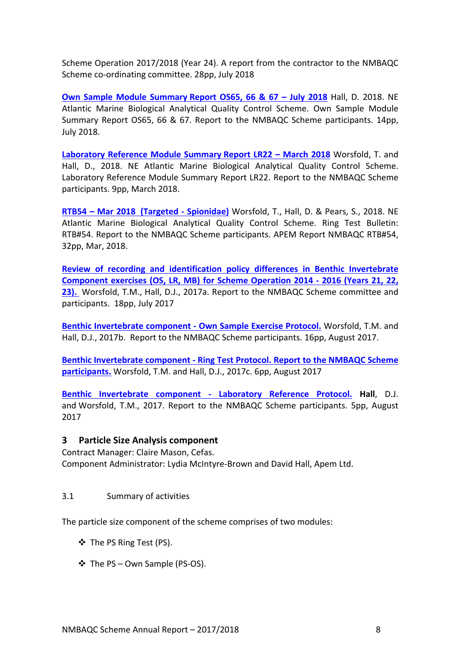Scheme Operation 2017/2018 (Year 24). A report from the contractor to the NMBAQC Scheme co-ordinating committee. 28pp, July 2018

**Own Sample Module Summary Report OS65, 66 & 67 - July 2018 Hall, D. 2018. NE** Atlantic Marine Biological Analytical Quality Control Scheme. Own Sample Module Summary Report OS65, 66 & 67. Report to the NMBAQC Scheme participants. 14pp, July 2018.

**Laboratory Reference Module Summary Report LR22 – March 2018** Worsfold, T. and Hall, D., 2018. NE Atlantic Marine Biological Analytical Quality Control Scheme. Laboratory Reference Module Summary Report LR22. Report to the NMBAQC Scheme participants. 9pp, March 2018.

**RTB54 – Mar 2018 (Targeted - Spionidae)** Worsfold, T., Hall, D. & Pears, S., 2018. NE Atlantic Marine Biological Analytical Quality Control Scheme. Ring Test Bulletin: RTB#54. Report to the NMBAQC Scheme participants. APEM Report NMBAQC RTB#54, 32pp, Mar, 2018.

**Review of recording and identification policy differences in Benthic Invertebrate Component exercises (OS, LR, MB) for Scheme Operation 2014 - 2016 (Years 21, 22,** 23). Worsfold, T.M., Hall, D.J., 2017a. Report to the NMBAQC Scheme committee and participants. 18pp, July 2017

Benthic Invertebrate component - Own Sample Exercise Protocol. Worsfold, T.M. and Hall, D.J., 2017b. Report to the NMBAQC Scheme participants. 16pp, August 2017.

**Benthic Invertebrate component - Ring Test Protocol. Report to the NMBAQC Scheme participants.** Worsfold, T.M. and Hall, D.J., 2017c. 6pp, August 2017

**Benthic Invertebrate component - Laboratory Reference Protocol. Hall, D.J.** and Worsfold, T.M., 2017. Report to the NMBAQC Scheme participants. 5pp, August 2017

#### **3 Particle Size Analysis component**

Contract Manager: Claire Mason, Cefas. Component Administrator: Lydia McIntyre-Brown and David Hall, Apem Ltd.

#### 3.1 Summary of activities

The particle size component of the scheme comprises of two modules:

- ❖ The PS Ring Test (PS).
- ❖ The PS Own Sample (PS-OS).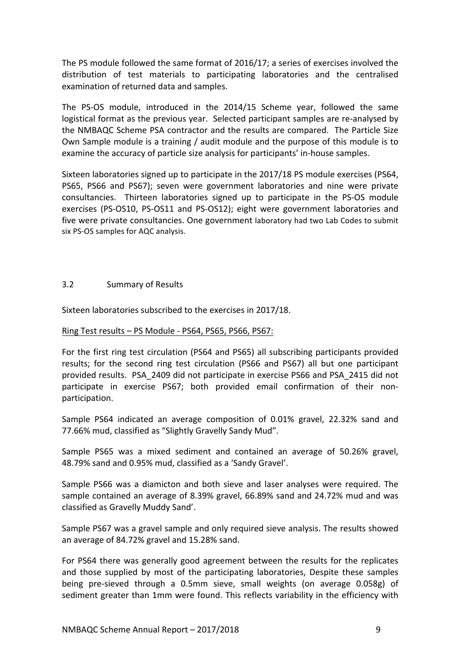The PS module followed the same format of  $2016/17$ ; a series of exercises involved the distribution of test materials to participating laboratories and the centralised examination of returned data and samples.

The PS-OS module, introduced in the 2014/15 Scheme year, followed the same logistical format as the previous year. Selected participant samples are re-analysed by the NMBAQC Scheme PSA contractor and the results are compared. The Particle Size Own Sample module is a training / audit module and the purpose of this module is to examine the accuracy of particle size analysis for participants' in-house samples.

Sixteen laboratories signed up to participate in the 2017/18 PS module exercises (PS64, PS65, PS66 and PS67); seven were government laboratories and nine were private consultancies. Thirteen laboratories signed up to participate in the PS-OS module exercises (PS-OS10, PS-OS11 and PS-OS12); eight were government laboratories and five were private consultancies. One government laboratory had two Lab Codes to submit six PS-OS samples for AQC analysis.

### 3.2 Summary of Results

Sixteen laboratories subscribed to the exercises in 2017/18.

#### Ring Test results - PS Module - PS64, PS65, PS66, PS67:

For the first ring test circulation (PS64 and PS65) all subscribing participants provided results; for the second ring test circulation (PS66 and PS67) all but one participant provided results. PSA 2409 did not participate in exercise PS66 and PSA 2415 did not participate in exercise PS67; both provided email confirmation of their nonparticipation. 

Sample PS64 indicated an average composition of 0.01% gravel, 22.32% sand and 77.66% mud, classified as "Slightly Gravelly Sandy Mud".

Sample PS65 was a mixed sediment and contained an average of 50.26% gravel, 48.79% sand and 0.95% mud, classified as a 'Sandy Gravel'.

Sample PS66 was a diamicton and both sieve and laser analyses were required. The sample contained an average of 8.39% gravel, 66.89% sand and 24.72% mud and was classified as Gravelly Muddy Sand'.

Sample PS67 was a gravel sample and only required sieve analysis. The results showed an average of 84.72% gravel and 15.28% sand.

For PS64 there was generally good agreement between the results for the replicates and those supplied by most of the participating laboratories, Despite these samples being pre-sieved through a 0.5mm sieve, small weights (on average 0.058g) of sediment greater than 1mm were found. This reflects variability in the efficiency with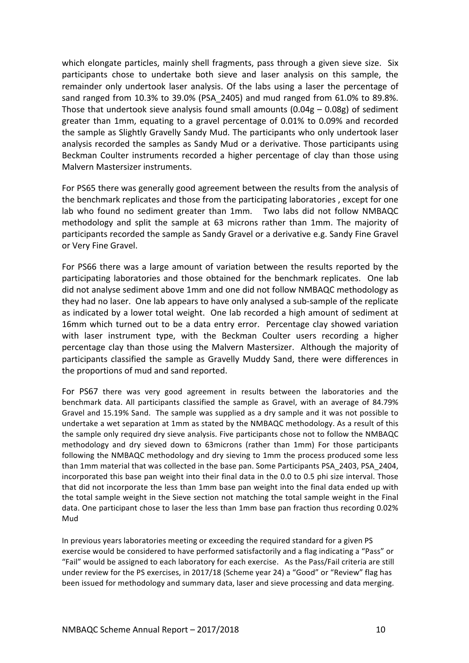which elongate particles, mainly shell fragments, pass through a given sieve size. Six participants chose to undertake both sieve and laser analysis on this sample, the remainder only undertook laser analysis. Of the labs using a laser the percentage of sand ranged from 10.3% to 39.0% (PSA 2405) and mud ranged from 61.0% to 89.8%. Those that undertook sieve analysis found small amounts  $(0.04g - 0.08g)$  of sediment greater than  $1$ mm, equating to a gravel percentage of  $0.01\%$  to  $0.09\%$  and recorded the sample as Slightly Gravelly Sandy Mud. The participants who only undertook laser analysis recorded the samples as Sandy Mud or a derivative. Those participants using Beckman Coulter instruments recorded a higher percentage of clay than those using Malvern Mastersizer instruments.

For PS65 there was generally good agreement between the results from the analysis of the benchmark replicates and those from the participating laboratories, except for one lab who found no sediment greater than 1mm. Two labs did not follow NMBAQC methodology and split the sample at 63 microns rather than 1mm. The majority of participants recorded the sample as Sandy Gravel or a derivative e.g. Sandy Fine Gravel or Very Fine Gravel.

For PS66 there was a large amount of variation between the results reported by the participating laboratories and those obtained for the benchmark replicates. One lab did not analyse sediment above 1mm and one did not follow NMBAQC methodology as they had no laser. One lab appears to have only analysed a sub-sample of the replicate as indicated by a lower total weight. One lab recorded a high amount of sediment at 16mm which turned out to be a data entry error. Percentage clay showed variation with laser instrument type, with the Beckman Coulter users recording a higher percentage clay than those using the Malvern Mastersizer. Although the majority of participants classified the sample as Gravelly Muddy Sand, there were differences in the proportions of mud and sand reported.

For PS67 there was very good agreement in results between the laboratories and the benchmark data. All participants classified the sample as Gravel, with an average of 84.79% Gravel and 15.19% Sand. The sample was supplied as a dry sample and it was not possible to undertake a wet separation at 1mm as stated by the NMBAQC methodology. As a result of this the sample only required dry sieve analysis. Five participants chose not to follow the NMBAQC methodology and dry sieved down to 63microns (rather than 1mm) For those participants following the NMBAQC methodology and dry sieving to 1mm the process produced some less than 1mm material that was collected in the base pan. Some Participants PSA 2403, PSA 2404, incorporated this base pan weight into their final data in the 0.0 to 0.5 phi size interval. Those that did not incorporate the less than 1mm base pan weight into the final data ended up with the total sample weight in the Sieve section not matching the total sample weight in the Final data. One participant chose to laser the less than 1mm base pan fraction thus recording 0.02% Mud

In previous years laboratories meeting or exceeding the required standard for a given PS exercise would be considered to have performed satisfactorily and a flag indicating a "Pass" or "Fail" would be assigned to each laboratory for each exercise. As the Pass/Fail criteria are still under review for the PS exercises, in 2017/18 (Scheme year 24) a "Good" or "Review" flag has been issued for methodology and summary data, laser and sieve processing and data merging.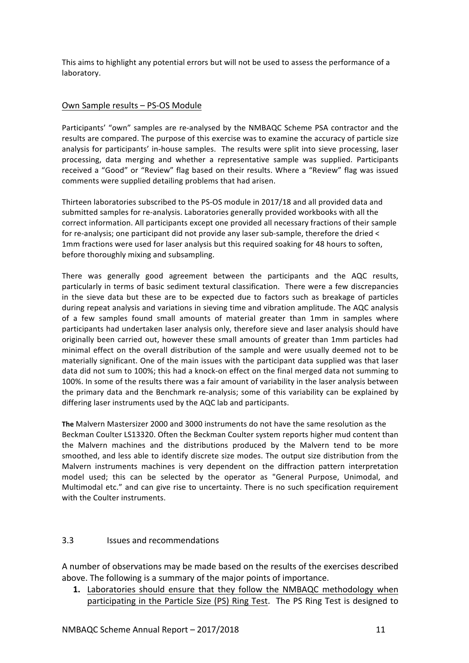This aims to highlight any potential errors but will not be used to assess the performance of a laboratory.

#### Own Sample results - PS-OS Module

Participants' "own" samples are re-analysed by the NMBAQC Scheme PSA contractor and the results are compared. The purpose of this exercise was to examine the accuracy of particle size analysis for participants' in-house samples. The results were split into sieve processing, laser processing, data merging and whether a representative sample was supplied. Participants received a "Good" or "Review" flag based on their results. Where a "Review" flag was issued comments were supplied detailing problems that had arisen.

Thirteen laboratories subscribed to the PS-OS module in 2017/18 and all provided data and submitted samples for re-analysis. Laboratories generally provided workbooks with all the correct information. All participants except one provided all necessary fractions of their sample for re-analysis; one participant did not provide any laser sub-sample, therefore the dried < 1mm fractions were used for laser analysis but this required soaking for 48 hours to soften, before thoroughly mixing and subsampling.

There was generally good agreement between the participants and the AQC results, particularly in terms of basic sediment textural classification. There were a few discrepancies in the sieve data but these are to be expected due to factors such as breakage of particles during repeat analysis and variations in sieving time and vibration amplitude. The AQC analysis of a few samples found small amounts of material greater than 1mm in samples where participants had undertaken laser analysis only, therefore sieve and laser analysis should have originally been carried out, however these small amounts of greater than 1mm particles had minimal effect on the overall distribution of the sample and were usually deemed not to be materially significant. One of the main issues with the participant data supplied was that laser data did not sum to 100%; this had a knock-on effect on the final merged data not summing to 100%. In some of the results there was a fair amount of variability in the laser analysis between the primary data and the Benchmark re-analysis; some of this variability can be explained by differing laser instruments used by the AQC lab and participants.

**The Malvern Mastersizer 2000 and 3000 instruments do not have the same resolution as the** Beckman Coulter LS13320. Often the Beckman Coulter system reports higher mud content than the Malvern machines and the distributions produced by the Malvern tend to be more smoothed, and less able to identify discrete size modes. The output size distribution from the Malvern instruments machines is very dependent on the diffraction pattern interpretation model used; this can be selected by the operator as "General Purpose, Unimodal, and Multimodal etc." and can give rise to uncertainty. There is no such specification requirement with the Coulter instruments.

#### 3.3 **Issues and recommendations**

A number of observations may be made based on the results of the exercises described above. The following is a summary of the major points of importance.

**1.** Laboratories should ensure that they follow the NMBAQC methodology when participating in the Particle Size (PS) Ring Test. The PS Ring Test is designed to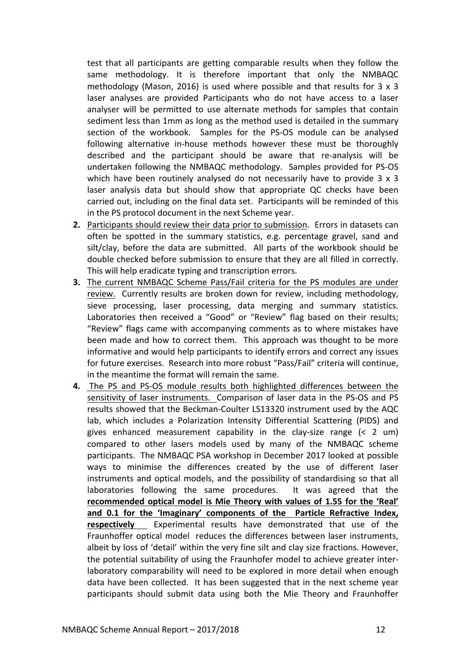test that all participants are getting comparable results when they follow the same methodology. It is therefore important that only the NMBAQC methodology (Mason, 2016) is used where possible and that results for  $3 \times 3$ laser analyses are provided Participants who do not have access to a laser analyser will be permitted to use alternate methods for samples that contain sediment less than 1mm as long as the method used is detailed in the summary section of the workbook. Samples for the PS-OS module can be analysed following alternative in-house methods however these must be thoroughly described and the participant should be aware that re-analysis will be undertaken following the NMBAQC methodology. Samples provided for PS-OS which have been routinely analysed do not necessarily have to provide  $3 \times 3$ laser analysis data but should show that appropriate QC checks have been carried out, including on the final data set. Participants will be reminded of this in the PS protocol document in the next Scheme year.

- **2.** Participants should review their data prior to submission. Errors in datasets can often be spotted in the summary statistics, e.g. percentage gravel, sand and silt/clay, before the data are submitted. All parts of the workbook should be double checked before submission to ensure that they are all filled in correctly. This will help eradicate typing and transcription errors.
- **3.** The current NMBAQC Scheme Pass/Fail criteria for the PS modules are under review. Currently results are broken down for review, including methodology, sieve processing, laser processing, data merging and summary statistics. Laboratories then received a "Good" or "Review" flag based on their results; "Review" flags came with accompanying comments as to where mistakes have been made and how to correct them. This approach was thought to be more informative and would help participants to identify errors and correct any issues for future exercises. Research into more robust "Pass/Fail" criteria will continue, in the meantime the format will remain the same.
- **4.** The PS and PS-OS module results both highlighted differences between the sensitivity of laser instruments. Comparison of laser data in the PS-OS and PS results showed that the Beckman-Coulter LS13320 instrument used by the AQC lab, which includes a Polarization Intensity Differential Scattering (PIDS) and gives enhanced measurement capability in the clay-size range  $\left($  < 2 um) compared to other lasers models used by many of the NMBAQC scheme participants. The NMBAQC PSA workshop in December 2017 looked at possible ways to minimise the differences created by the use of different laser instruments and optical models, and the possibility of standardising so that all laboratories following the same procedures. It was agreed that the recommended optical model is Mie Theory with values of 1.55 for the 'Real' and 0.1 for the 'Imaginary' components of the Particle Refractive Index, **respectively** Experimental results have demonstrated that use of the Fraunhoffer optical model reduces the differences between laser instruments, albeit by loss of 'detail' within the very fine silt and clay size fractions. However, the potential suitability of using the Fraunhofer model to achieve greater interlaboratory comparability will need to be explored in more detail when enough data have been collected. It has been suggested that in the next scheme year participants should submit data using both the Mie Theory and Fraunhoffer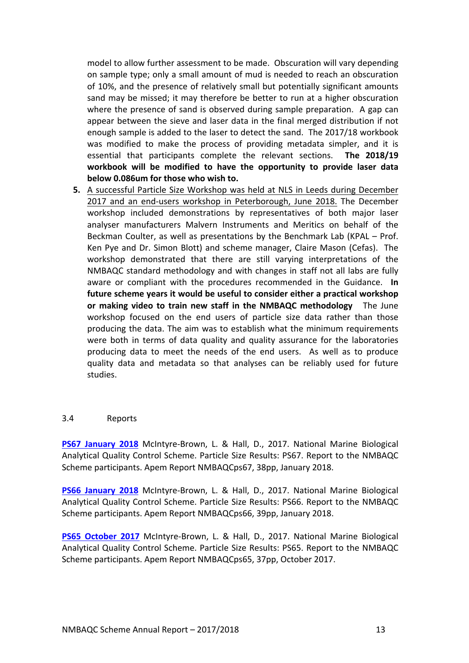model to allow further assessment to be made. Obscuration will vary depending on sample type; only a small amount of mud is needed to reach an obscuration of 10%, and the presence of relatively small but potentially significant amounts sand may be missed; it may therefore be better to run at a higher obscuration where the presence of sand is observed during sample preparation. A gap can appear between the sieve and laser data in the final merged distribution if not enough sample is added to the laser to detect the sand. The 2017/18 workbook was modified to make the process of providing metadata simpler, and it is essential that participants complete the relevant sections. The 2018/19 workbook will be modified to have the opportunity to provide laser data **below 0.086um for those who wish to.** 

**5.** A successful Particle Size Workshop was held at NLS in Leeds during December 2017 and an end-users workshop in Peterborough, June 2018. The December workshop included demonstrations by representatives of both major laser analyser manufacturers Malvern Instruments and Meritics on behalf of the Beckman Coulter, as well as presentations by the Benchmark Lab (KPAL – Prof. Ken Pye and Dr. Simon Blott) and scheme manager, Claire Mason (Cefas). The workshop demonstrated that there are still varying interpretations of the NMBAQC standard methodology and with changes in staff not all labs are fully aware or compliant with the procedures recommended in the Guidance. In future scheme years it would be useful to consider either a practical workshop or making video to train new staff in the NMBAQC methodology The June workshop focused on the end users of particle size data rather than those producing the data. The aim was to establish what the minimum requirements were both in terms of data quality and quality assurance for the laboratories producing data to meet the needs of the end users. As well as to produce quality data and metadata so that analyses can be reliably used for future studies.

#### 3.4 Reports

**PS67 January 2018** McIntyre-Brown, L. & Hall, D., 2017. National Marine Biological Analytical Quality Control Scheme. Particle Size Results: PS67. Report to the NMBAQC Scheme participants. Apem Report NMBAQCps67, 38pp, January 2018.

**PS66 January 2018** McIntyre-Brown, L. & Hall, D., 2017. National Marine Biological Analytical Quality Control Scheme. Particle Size Results: PS66. Report to the NMBAQC Scheme participants. Apem Report NMBAQCps66, 39pp, January 2018.

**PS65 October 2017** McIntyre-Brown, L. & Hall, D., 2017. National Marine Biological Analytical Quality Control Scheme. Particle Size Results: PS65. Report to the NMBAQC Scheme participants. Apem Report NMBAQCps65, 37pp, October 2017.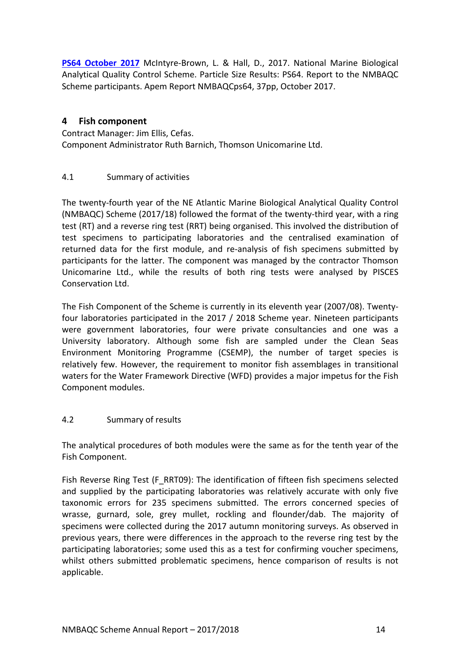**PS64 October 2017** McIntyre-Brown, L. & Hall, D., 2017. National Marine Biological Analytical Quality Control Scheme. Particle Size Results: PS64. Report to the NMBAQC Scheme participants. Apem Report NMBAQCps64, 37pp, October 2017.

## **4 Fish component**

Contract Manager: Jim Ellis, Cefas. Component Administrator Ruth Barnich, Thomson Unicomarine Ltd.

## 4.1 Summary of activities

The twenty-fourth year of the NE Atlantic Marine Biological Analytical Quality Control (NMBAQC) Scheme (2017/18) followed the format of the twenty-third year, with a ring test (RT) and a reverse ring test (RRT) being organised. This involved the distribution of test specimens to participating laboratories and the centralised examination of returned data for the first module, and re-analysis of fish specimens submitted by participants for the latter. The component was managed by the contractor Thomson Unicomarine Ltd., while the results of both ring tests were analysed by PISCES Conservation Itd.

The Fish Component of the Scheme is currently in its eleventh year (2007/08). Twentyfour laboratories participated in the 2017 / 2018 Scheme year. Nineteen participants were government laboratories, four were private consultancies and one was a University laboratory. Although some fish are sampled under the Clean Seas Environment Monitoring Programme (CSEMP), the number of target species is relatively few. However, the requirement to monitor fish assemblages in transitional waters for the Water Framework Directive (WFD) provides a major impetus for the Fish Component modules.

## 4.2 Summary of results

The analytical procedures of both modules were the same as for the tenth year of the Fish Component.

Fish Reverse Ring Test (F\_RRT09): The identification of fifteen fish specimens selected and supplied by the participating laboratories was relatively accurate with only five taxonomic errors for 235 specimens submitted. The errors concerned species of wrasse, gurnard, sole, grey mullet, rockling and flounder/dab. The majority of specimens were collected during the 2017 autumn monitoring surveys. As observed in previous years, there were differences in the approach to the reverse ring test by the participating laboratories; some used this as a test for confirming voucher specimens, whilst others submitted problematic specimens, hence comparison of results is not applicable.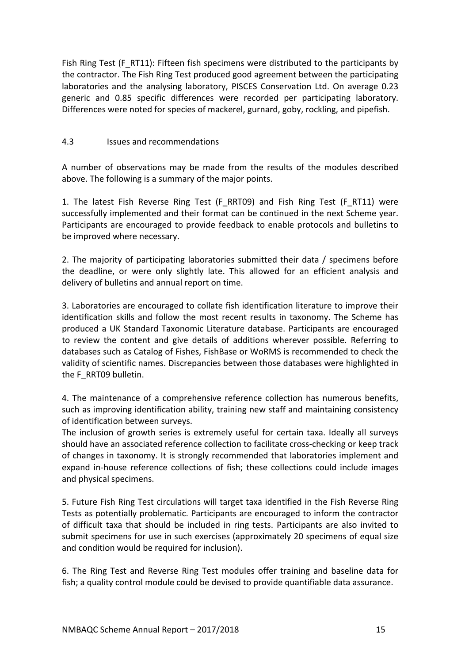Fish Ring Test (F\_RT11): Fifteen fish specimens were distributed to the participants by the contractor. The Fish Ring Test produced good agreement between the participating laboratories and the analysing laboratory, PISCES Conservation Ltd. On average 0.23 generic and 0.85 specific differences were recorded per participating laboratory. Differences were noted for species of mackerel, gurnard, goby, rockling, and pipefish.

### 4.3 **Issues and recommendations**

A number of observations may be made from the results of the modules described above. The following is a summary of the major points.

1. The latest Fish Reverse Ring Test (F\_RRT09) and Fish Ring Test (F\_RT11) were successfully implemented and their format can be continued in the next Scheme year. Participants are encouraged to provide feedback to enable protocols and bulletins to be improved where necessary.

2. The majority of participating laboratories submitted their data / specimens before the deadline, or were only slightly late. This allowed for an efficient analysis and delivery of bulletins and annual report on time.

3. Laboratories are encouraged to collate fish identification literature to improve their identification skills and follow the most recent results in taxonomy. The Scheme has produced a UK Standard Taxonomic Literature database. Participants are encouraged to review the content and give details of additions wherever possible. Referring to databases such as Catalog of Fishes, FishBase or WoRMS is recommended to check the validity of scientific names. Discrepancies between those databases were highlighted in the F\_RRT09 bulletin.

4. The maintenance of a comprehensive reference collection has numerous benefits, such as improving identification ability, training new staff and maintaining consistency of identification between surveys.

The inclusion of growth series is extremely useful for certain taxa. Ideally all surveys should have an associated reference collection to facilitate cross-checking or keep track of changes in taxonomy. It is strongly recommended that laboratories implement and expand in-house reference collections of fish; these collections could include images and physical specimens.

5. Future Fish Ring Test circulations will target taxa identified in the Fish Reverse Ring Tests as potentially problematic. Participants are encouraged to inform the contractor of difficult taxa that should be included in ring tests. Participants are also invited to submit specimens for use in such exercises (approximately 20 specimens of equal size and condition would be required for inclusion).

6. The Ring Test and Reverse Ring Test modules offer training and baseline data for fish; a quality control module could be devised to provide quantifiable data assurance.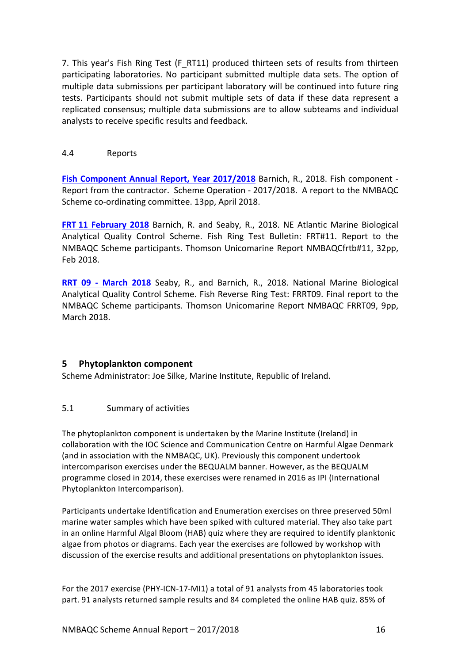7. This year's Fish Ring Test (F\_RT11) produced thirteen sets of results from thirteen participating laboratories. No participant submitted multiple data sets. The option of multiple data submissions per participant laboratory will be continued into future ring tests. Participants should not submit multiple sets of data if these data represent a replicated consensus; multiple data submissions are to allow subteams and individual analysts to receive specific results and feedback.

#### 4.4 Reports

**Fish Component Annual Report, Year 2017/2018** Barnich, R., 2018. Fish component -Report from the contractor. Scheme Operation - 2017/2018. A report to the NMBAQC Scheme co-ordinating committee. 13pp, April 2018.

**FRT 11 February 2018** Barnich, R. and Seaby, R., 2018. NE Atlantic Marine Biological Analytical Quality Control Scheme. Fish Ring Test Bulletin: FRT#11. Report to the NMBAQC Scheme participants. Thomson Unicomarine Report NMBAQCfrtb#11, 32pp, Feb 2018.

**RRT 09 - March 2018** Seaby, R., and Barnich, R., 2018. National Marine Biological Analytical Quality Control Scheme. Fish Reverse Ring Test: FRRT09. Final report to the NMBAQC Scheme participants. Thomson Unicomarine Report NMBAQC FRRT09, 9pp, March 2018.

## **5 Phytoplankton component**

Scheme Administrator: Joe Silke, Marine Institute, Republic of Ireland.

## 5.1 Summary of activities

The phytoplankton component is undertaken by the Marine Institute (Ireland) in collaboration with the IOC Science and Communication Centre on Harmful Algae Denmark (and in association with the NMBAQC, UK). Previously this component undertook intercomparison exercises under the BEQUALM banner. However, as the BEQUALM programme closed in 2014, these exercises were renamed in 2016 as IPI (International Phytoplankton Intercomparison).

Participants undertake Identification and Enumeration exercises on three preserved 50ml marine water samples which have been spiked with cultured material. They also take part in an online Harmful Algal Bloom (HAB) quiz where they are required to identify planktonic algae from photos or diagrams. Each year the exercises are followed by workshop with discussion of the exercise results and additional presentations on phytoplankton issues.

For the 2017 exercise (PHY-ICN-17-MI1) a total of 91 analysts from 45 laboratories took part. 91 analysts returned sample results and 84 completed the online HAB quiz. 85% of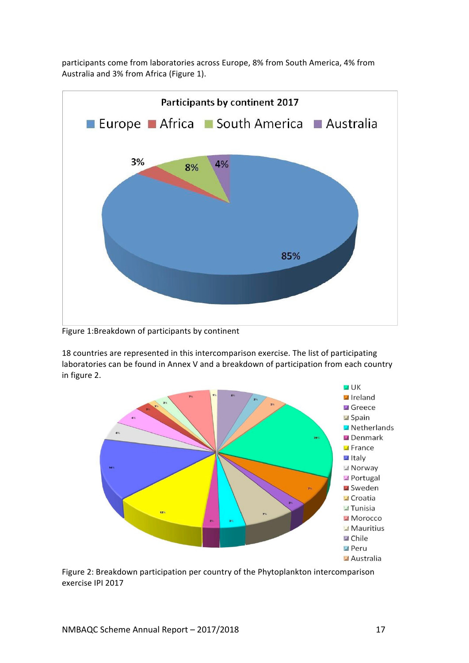participants come from laboratories across Europe, 8% from South America, 4% from Australia and 3% from Africa (Figure 1).



Figure 1:Breakdown of participants by continent

18 countries are represented in this intercomparison exercise. The list of participating laboratories can be found in Annex V and a breakdown of participation from each country in figure 2.



Figure 2: Breakdown participation per country of the Phytoplankton intercomparison exercise IPI 2017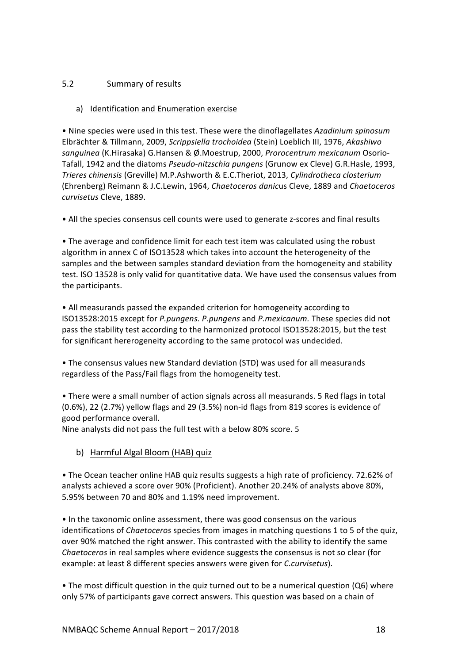## 5.2 Summary of results

#### a) Identification and Enumeration exercise

• Nine species were used in this test. These were the dinoflagellates Azadinium spinosum Elbrächter & Tillmann, 2009, *Scrippsiella trochoidea* (Stein) Loeblich III, 1976, *Akashiwo sanguinea* (K.Hirasaka) G.Hansen & Ø.Moestrup, 2000, *Prorocentrum mexicanum* Osorio-Tafall, 1942 and the diatoms *Pseudo-nitzschia pungens* (Grunow ex Cleve) G.R.Hasle, 1993, *Trieres chinensis* (Greville) M.P.Ashworth & E.C.Theriot, 2013, *Cylindrotheca closterium* (Ehrenberg) Reimann & J.C.Lewin, 1964, *Chaetoceros danic*us Cleve, 1889 and *Chaetoceros curvisetus* Cleve, 1889. 

• All the species consensus cell counts were used to generate z-scores and final results

• The average and confidence limit for each test item was calculated using the robust algorithm in annex C of ISO13528 which takes into account the heterogeneity of the samples and the between samples standard deviation from the homogeneity and stability test. ISO 13528 is only valid for quantitative data. We have used the consensus values from the participants.

• All measurands passed the expanded criterion for homogeneity according to ISO13528:2015 except for *P.pungens. P.pungens* and *P.mexicanum.* These species did not pass the stability test according to the harmonized protocol ISO13528:2015, but the test for significant hererogeneity according to the same protocol was undecided.

• The consensus values new Standard deviation (STD) was used for all measurands regardless of the Pass/Fail flags from the homogeneity test.

• There were a small number of action signals across all measurands. 5 Red flags in total  $(0.6%)$ , 22  $(2.7%)$  yellow flags and 29  $(3.5%)$  non-id flags from 819 scores is evidence of good performance overall.

Nine analysts did not pass the full test with a below 80% score. 5

b) Harmful Algal Bloom (HAB) quiz

• The Ocean teacher online HAB quiz results suggests a high rate of proficiency. 72.62% of analysts achieved a score over 90% (Proficient). Another 20.24% of analysts above 80%, 5.95% between 70 and 80% and 1.19% need improvement. 

• In the taxonomic online assessment, there was good consensus on the various identifications of *Chaetoceros* species from images in matching questions 1 to 5 of the quiz, over 90% matched the right answer. This contrasted with the ability to identify the same *Chaetoceros* in real samples where evidence suggests the consensus is not so clear (for example: at least 8 different species answers were given for *C.curvisetus*).

• The most difficult question in the quiz turned out to be a numerical question (Q6) where only 57% of participants gave correct answers. This question was based on a chain of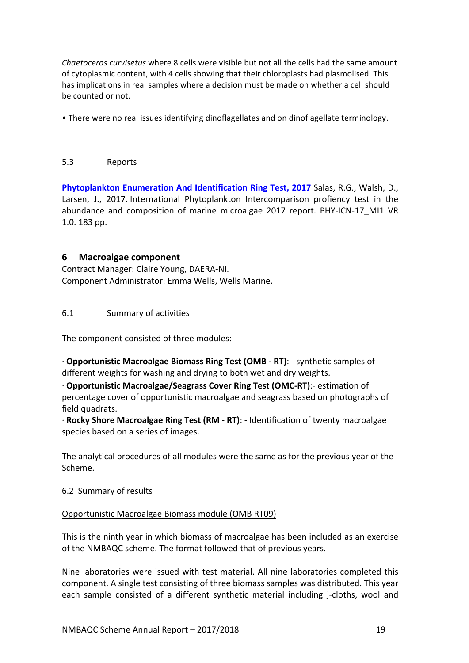*Chaetoceros curvisetus* where 8 cells were visible but not all the cells had the same amount of cytoplasmic content, with 4 cells showing that their chloroplasts had plasmolised. This has implications in real samples where a decision must be made on whether a cell should be counted or not.

• There were no real issues identifying dinoflagellates and on dinoflagellate terminology.

#### 5.3 Reports

**Phytoplankton Enumeration And Identification Ring Test, 2017** Salas, R.G., Walsh, D., Larsen, J., 2017. International Phytoplankton Intercomparison profiency test in the abundance and composition of marine microalgae 2017 report. PHY-ICN-17 MI1 VR 1.0. 183 pp.

## **6** Macroalgae component

Contract Manager: Claire Young, DAERA-NI. Component Administrator: Emma Wells, Wells Marine.

### 6.1 Summary of activities

The component consisted of three modules:

· **Opportunistic Macroalgae Biomass Ring Test (OMB - RT)**: - synthetic samples of different weights for washing and drying to both wet and dry weights.

· **Opportunistic Macroalgae/Seagrass Cover Ring Test (OMC-RT)**:- estimation of percentage cover of opportunistic macroalgae and seagrass based on photographs of field quadrats.

· **Rocky Shore Macroalgae Ring Test (RM - RT)**: - Identification of twenty macroalgae species based on a series of images.

The analytical procedures of all modules were the same as for the previous year of the Scheme. 

6.2 Summary of results

#### Opportunistic Macroalgae Biomass module (OMB RT09)

This is the ninth year in which biomass of macroalgae has been included as an exercise of the NMBAQC scheme. The format followed that of previous years.

Nine laboratories were issued with test material. All nine laboratories completed this component. A single test consisting of three biomass samples was distributed. This year each sample consisted of a different synthetic material including *j*-cloths, wool and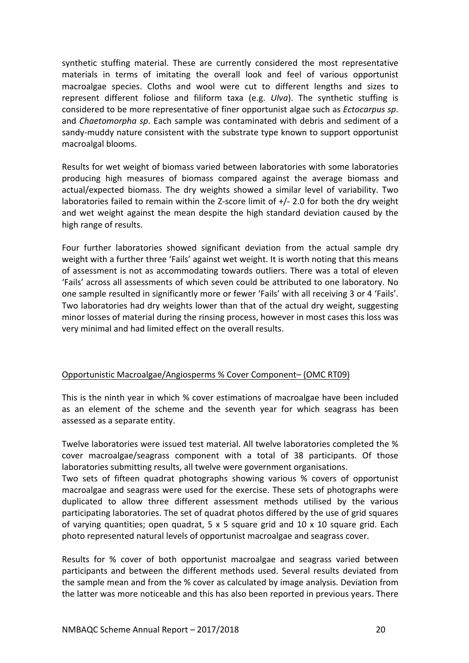synthetic stuffing material. These are currently considered the most representative materials in terms of imitating the overall look and feel of various opportunist macroalgae species. Cloths and wool were cut to different lengths and sizes to represent different foliose and filiform taxa (e.g. *Ulva*). The synthetic stuffing is considered to be more representative of finer opportunist algae such as *Ectocarpus sp.* and *Chaetomorpha sp*. Each sample was contaminated with debris and sediment of a sandy-muddy nature consistent with the substrate type known to support opportunist macroalgal blooms.

Results for wet weight of biomass varied between laboratories with some laboratories producing high measures of biomass compared against the average biomass and actual/expected biomass. The dry weights showed a similar level of variability. Two laboratories failed to remain within the Z-score limit of  $+/-$  2.0 for both the dry weight and wet weight against the mean despite the high standard deviation caused by the high range of results.

Four further laboratories showed significant deviation from the actual sample dry weight with a further three 'Fails' against wet weight. It is worth noting that this means of assessment is not as accommodating towards outliers. There was a total of eleven 'Fails' across all assessments of which seven could be attributed to one laboratory. No one sample resulted in significantly more or fewer 'Fails' with all receiving 3 or 4 'Fails'. Two laboratories had dry weights lower than that of the actual dry weight, suggesting minor losses of material during the rinsing process, however in most cases this loss was very minimal and had limited effect on the overall results.

#### Opportunistic Macroalgae/Angiosperms % Cover Component– (OMC RT09)

This is the ninth year in which % cover estimations of macroalgae have been included as an element of the scheme and the seventh year for which seagrass has been assessed as a separate entity.

Twelve laboratories were issued test material. All twelve laboratories completed the % cover macroalgae/seagrass component with a total of 38 participants. Of those laboratories submitting results, all twelve were government organisations.

Two sets of fifteen quadrat photographs showing various % covers of opportunist macroalgae and seagrass were used for the exercise. These sets of photographs were duplicated to allow three different assessment methods utilised by the various participating laboratories. The set of quadrat photos differed by the use of grid squares of varying quantities; open quadrat,  $5 \times 5$  square grid and  $10 \times 10$  square grid. Each photo represented natural levels of opportunist macroalgae and seagrass cover.

Results for % cover of both opportunist macroalgae and seagrass varied between participants and between the different methods used. Several results deviated from the sample mean and from the % cover as calculated by image analysis. Deviation from the latter was more noticeable and this has also been reported in previous years. There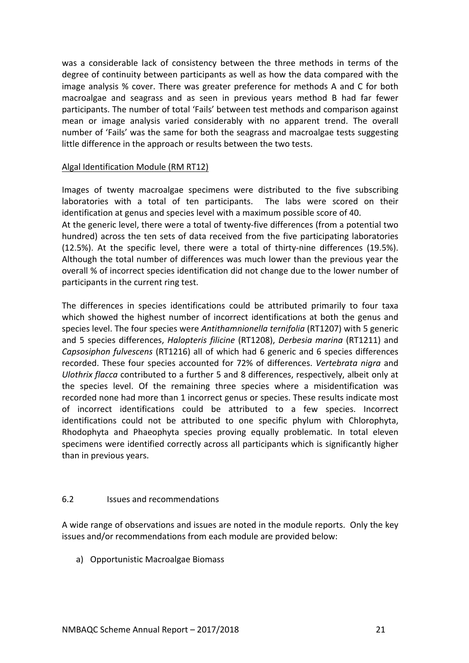was a considerable lack of consistency between the three methods in terms of the degree of continuity between participants as well as how the data compared with the image analysis % cover. There was greater preference for methods A and C for both macroalgae and seagrass and as seen in previous years method B had far fewer participants. The number of total 'Fails' between test methods and comparison against mean or image analysis varied considerably with no apparent trend. The overall number of 'Fails' was the same for both the seagrass and macroalgae tests suggesting little difference in the approach or results between the two tests.

#### Algal Identification Module (RM RT12)

Images of twenty macroalgae specimens were distributed to the five subscribing laboratories with a total of ten participants. The labs were scored on their identification at genus and species level with a maximum possible score of 40.

At the generic level, there were a total of twenty-five differences (from a potential two hundred) across the ten sets of data received from the five participating laboratories (12.5%). At the specific level, there were a total of thirty-nine differences (19.5%). Although the total number of differences was much lower than the previous year the overall % of incorrect species identification did not change due to the lower number of participants in the current ring test.

The differences in species identifications could be attributed primarily to four taxa which showed the highest number of incorrect identifications at both the genus and species level. The four species were *Antithamnionella ternifolia* (RT1207) with 5 generic and 5 species differences, *Halopteris filicine* (RT1208), *Derbesia marina* (RT1211) and *Capsosiphon fulvescens* (RT1216) all of which had 6 generic and 6 species differences recorded. These four species accounted for 72% of differences. *Vertebrata nigra* and *Ulothrix flacca* contributed to a further 5 and 8 differences, respectively, albeit only at the species level. Of the remaining three species where a misidentification was recorded none had more than 1 incorrect genus or species. These results indicate most of incorrect identifications could be attributed to a few species. Incorrect identifications could not be attributed to one specific phylum with Chlorophyta, Rhodophyta and Phaeophyta species proving equally problematic. In total eleven specimens were identified correctly across all participants which is significantly higher than in previous years.

#### 6.2 **Issues and recommendations**

A wide range of observations and issues are noted in the module reports. Only the key issues and/or recommendations from each module are provided below:

a) Opportunistic Macroalgae Biomass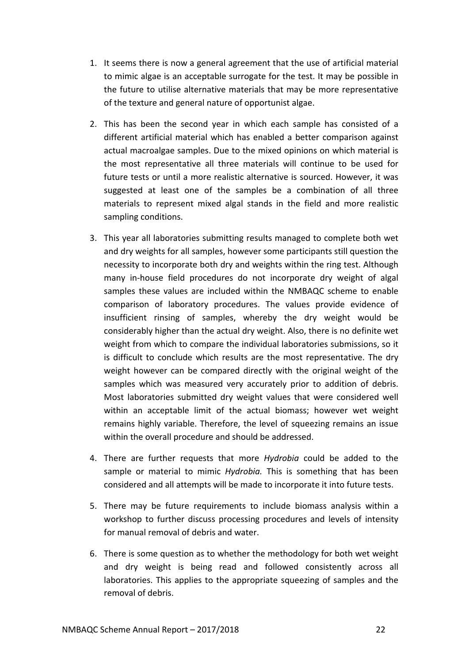- 1. It seems there is now a general agreement that the use of artificial material to mimic algae is an acceptable surrogate for the test. It may be possible in the future to utilise alternative materials that may be more representative of the texture and general nature of opportunist algae.
- 2. This has been the second year in which each sample has consisted of a different artificial material which has enabled a better comparison against actual macroalgae samples. Due to the mixed opinions on which material is the most representative all three materials will continue to be used for future tests or until a more realistic alternative is sourced. However, it was suggested at least one of the samples be a combination of all three materials to represent mixed algal stands in the field and more realistic sampling conditions.
- 3. This year all laboratories submitting results managed to complete both wet and dry weights for all samples, however some participants still question the necessity to incorporate both dry and weights within the ring test. Although many in-house field procedures do not incorporate dry weight of algal samples these values are included within the NMBAQC scheme to enable comparison of laboratory procedures. The values provide evidence of insufficient rinsing of samples, whereby the dry weight would be considerably higher than the actual dry weight. Also, there is no definite wet weight from which to compare the individual laboratories submissions, so it is difficult to conclude which results are the most representative. The dry weight however can be compared directly with the original weight of the samples which was measured very accurately prior to addition of debris. Most laboratories submitted dry weight values that were considered well within an acceptable limit of the actual biomass; however wet weight remains highly variable. Therefore, the level of squeezing remains an issue within the overall procedure and should be addressed.
- 4. There are further requests that more *Hydrobia* could be added to the sample or material to mimic *Hydrobia*. This is something that has been considered and all attempts will be made to incorporate it into future tests.
- 5. There may be future requirements to include biomass analysis within a workshop to further discuss processing procedures and levels of intensity for manual removal of debris and water.
- 6. There is some question as to whether the methodology for both wet weight and dry weight is being read and followed consistently across all laboratories. This applies to the appropriate squeezing of samples and the removal of debris.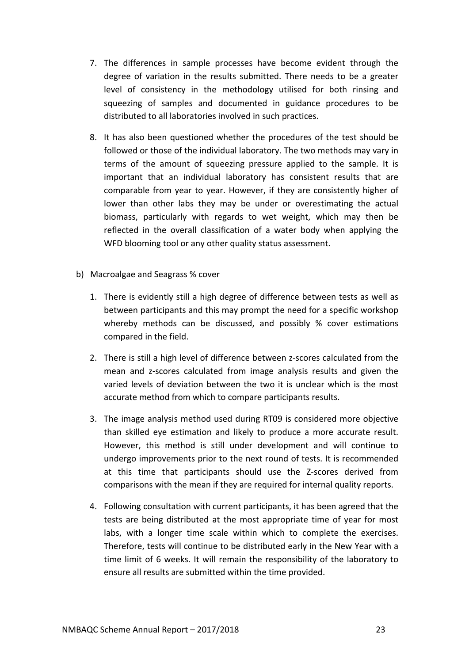- 7. The differences in sample processes have become evident through the degree of variation in the results submitted. There needs to be a greater level of consistency in the methodology utilised for both rinsing and squeezing of samples and documented in guidance procedures to be distributed to all laboratories involved in such practices.
- 8. It has also been questioned whether the procedures of the test should be followed or those of the individual laboratory. The two methods may vary in terms of the amount of squeezing pressure applied to the sample. It is important that an individual laboratory has consistent results that are comparable from year to year. However, if they are consistently higher of lower than other labs they may be under or overestimating the actual biomass, particularly with regards to wet weight, which may then be reflected in the overall classification of a water body when applying the WFD blooming tool or any other quality status assessment.
- b) Macroalgae and Seagrass % cover
	- 1. There is evidently still a high degree of difference between tests as well as between participants and this may prompt the need for a specific workshop whereby methods can be discussed, and possibly  $%$  cover estimations compared in the field.
	- 2. There is still a high level of difference between z-scores calculated from the mean and z-scores calculated from image analysis results and given the varied levels of deviation between the two it is unclear which is the most accurate method from which to compare participants results.
	- 3. The image analysis method used during RT09 is considered more objective than skilled eye estimation and likely to produce a more accurate result. However, this method is still under development and will continue to undergo improvements prior to the next round of tests. It is recommended at this time that participants should use the Z-scores derived from comparisons with the mean if they are required for internal quality reports.
	- 4. Following consultation with current participants, it has been agreed that the tests are being distributed at the most appropriate time of year for most labs, with a longer time scale within which to complete the exercises. Therefore, tests will continue to be distributed early in the New Year with a time limit of 6 weeks. It will remain the responsibility of the laboratory to ensure all results are submitted within the time provided.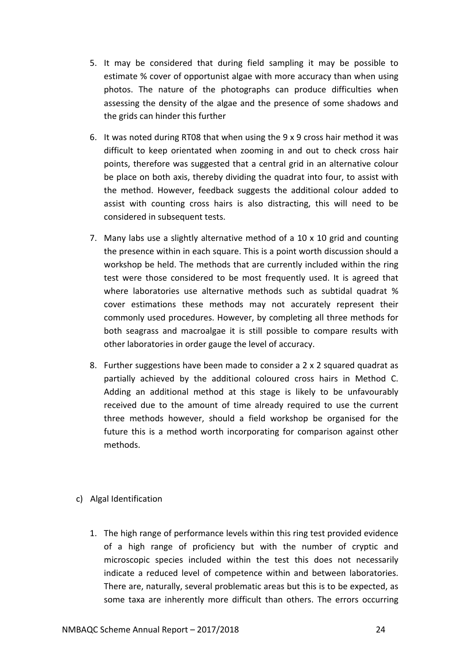- 5. It may be considered that during field sampling it may be possible to estimate % cover of opportunist algae with more accuracy than when using photos. The nature of the photographs can produce difficulties when assessing the density of the algae and the presence of some shadows and the grids can hinder this further
- 6. It was noted during RT08 that when using the  $9 \times 9$  cross hair method it was difficult to keep orientated when zooming in and out to check cross hair points, therefore was suggested that a central grid in an alternative colour be place on both axis, thereby dividing the quadrat into four, to assist with the method. However, feedback suggests the additional colour added to assist with counting cross hairs is also distracting, this will need to be considered in subsequent tests.
- 7. Many labs use a slightly alternative method of a  $10 \times 10$  grid and counting the presence within in each square. This is a point worth discussion should a workshop be held. The methods that are currently included within the ring test were those considered to be most frequently used. It is agreed that where laboratories use alternative methods such as subtidal quadrat % cover estimations these methods may not accurately represent their commonly used procedures. However, by completing all three methods for both seagrass and macroalgae it is still possible to compare results with other laboratories in order gauge the level of accuracy.
- 8. Further suggestions have been made to consider a 2 x 2 squared quadrat as partially achieved by the additional coloured cross hairs in Method C. Adding an additional method at this stage is likely to be unfavourably received due to the amount of time already required to use the current three methods however, should a field workshop be organised for the future this is a method worth incorporating for comparison against other methods.

#### c) Algal Identification

1. The high range of performance levels within this ring test provided evidence of a high range of proficiency but with the number of cryptic and microscopic species included within the test this does not necessarily indicate a reduced level of competence within and between laboratories. There are, naturally, several problematic areas but this is to be expected, as some taxa are inherently more difficult than others. The errors occurring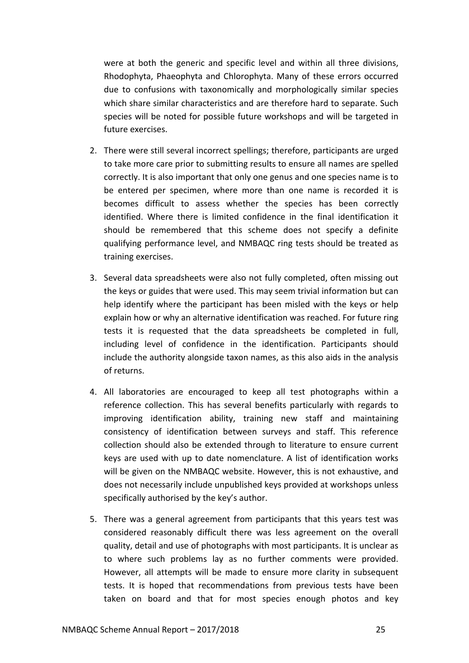were at both the generic and specific level and within all three divisions, Rhodophyta, Phaeophyta and Chlorophyta. Many of these errors occurred due to confusions with taxonomically and morphologically similar species which share similar characteristics and are therefore hard to separate. Such species will be noted for possible future workshops and will be targeted in future exercises.

- 2. There were still several incorrect spellings; therefore, participants are urged to take more care prior to submitting results to ensure all names are spelled correctly. It is also important that only one genus and one species name is to be entered per specimen, where more than one name is recorded it is becomes difficult to assess whether the species has been correctly identified. Where there is limited confidence in the final identification it should be remembered that this scheme does not specify a definite qualifying performance level, and NMBAQC ring tests should be treated as training exercises.
- 3. Several data spreadsheets were also not fully completed, often missing out the keys or guides that were used. This may seem trivial information but can help identify where the participant has been misled with the keys or help explain how or why an alternative identification was reached. For future ring tests it is requested that the data spreadsheets be completed in full, including level of confidence in the identification. Participants should include the authority alongside taxon names, as this also aids in the analysis of returns.
- 4. All laboratories are encouraged to keep all test photographs within a reference collection. This has several benefits particularly with regards to improving identification ability, training new staff and maintaining consistency of identification between surveys and staff. This reference collection should also be extended through to literature to ensure current keys are used with up to date nomenclature. A list of identification works will be given on the NMBAQC website. However, this is not exhaustive, and does not necessarily include unpublished keys provided at workshops unless specifically authorised by the key's author.
- 5. There was a general agreement from participants that this years test was considered reasonably difficult there was less agreement on the overall quality, detail and use of photographs with most participants. It is unclear as to where such problems lay as no further comments were provided. However, all attempts will be made to ensure more clarity in subsequent tests. It is hoped that recommendations from previous tests have been taken on board and that for most species enough photos and key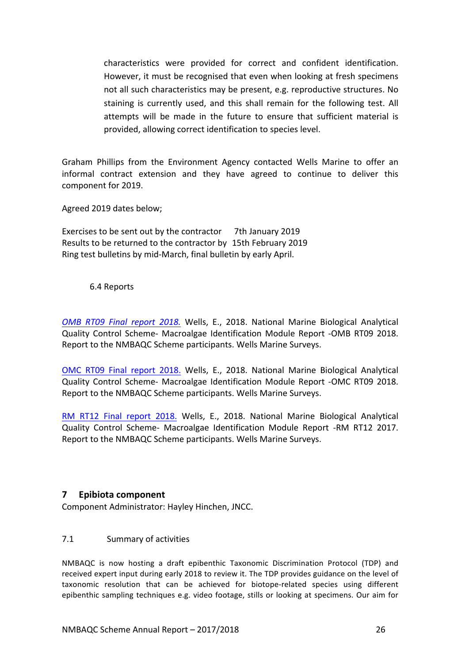characteristics were provided for correct and confident identification. However, it must be recognised that even when looking at fresh specimens not all such characteristics may be present, e.g. reproductive structures. No staining is currently used, and this shall remain for the following test. All attempts will be made in the future to ensure that sufficient material is provided, allowing correct identification to species level.

Graham Phillips from the Environment Agency contacted Wells Marine to offer an informal contract extension and they have agreed to continue to deliver this component for 2019.

Agreed 2019 dates below;

Exercises to be sent out by the contractor 7th January 2019 Results to be returned to the contractor by 15th February 2019 Ring test bulletins by mid-March, final bulletin by early April.

#### 6.4 Reports

*OMB RT09 Final report 2018.* Wells, E., 2018. National Marine Biological Analytical Quality Control Scheme- Macroalgae Identification Module Report -OMB RT09 2018. Report to the NMBAQC Scheme participants. Wells Marine Surveys.

OMC RT09 Final report 2018. Wells, E., 2018. National Marine Biological Analytical Quality Control Scheme- Macroalgae Identification Module Report -OMC RT09 2018. Report to the NMBAQC Scheme participants. Wells Marine Surveys.

RM RT12 Final report 2018. Wells, E., 2018. National Marine Biological Analytical Quality Control Scheme- Macroalgae Identification Module Report -RM RT12 2017. Report to the NMBAQC Scheme participants. Wells Marine Surveys.

## **7 Epibiota component**

Component Administrator: Hayley Hinchen, JNCC.

## 7.1 Summary of activities

NMBAQC is now hosting a draft epibenthic Taxonomic Discrimination Protocol (TDP) and received expert input during early 2018 to review it. The TDP provides guidance on the level of taxonomic resolution that can be achieved for biotope-related species using different epibenthic sampling techniques e.g. video footage, stills or looking at specimens. Our aim for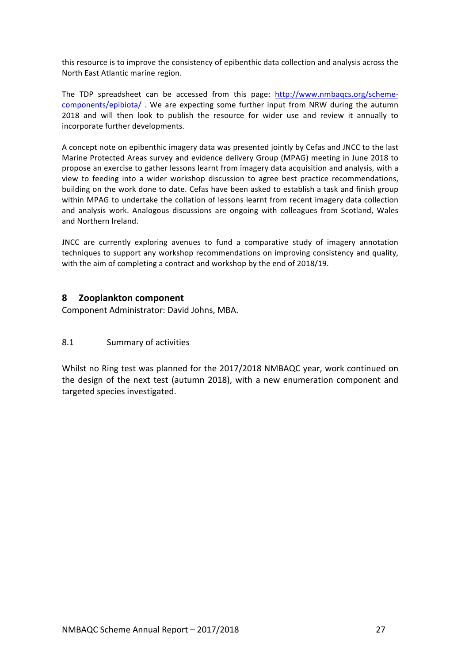this resource is to improve the consistency of epibenthic data collection and analysis across the North East Atlantic marine region.

The TDP spreadsheet can be accessed from this page: http://www.nmbaqcs.org/schemecomponents/epibiota/. We are expecting some further input from NRW during the autumn 2018 and will then look to publish the resource for wider use and review it annually to incorporate further developments.

A concept note on epibenthic imagery data was presented jointly by Cefas and JNCC to the last Marine Protected Areas survey and evidence delivery Group (MPAG) meeting in June 2018 to propose an exercise to gather lessons learnt from imagery data acquisition and analysis, with a view to feeding into a wider workshop discussion to agree best practice recommendations, building on the work done to date. Cefas have been asked to establish a task and finish group within MPAG to undertake the collation of lessons learnt from recent imagery data collection and analysis work. Analogous discussions are ongoing with colleagues from Scotland, Wales and Northern Ireland.

JNCC are currently exploring avenues to fund a comparative study of imagery annotation techniques to support any workshop recommendations on improving consistency and quality, with the aim of completing a contract and workshop by the end of 2018/19.

## **8 Zooplankton component**

Component Administrator: David Johns, MBA.

#### 8.1 Summary of activities

Whilst no Ring test was planned for the 2017/2018 NMBAQC year, work continued on the design of the next test (autumn 2018), with a new enumeration component and targeted species investigated.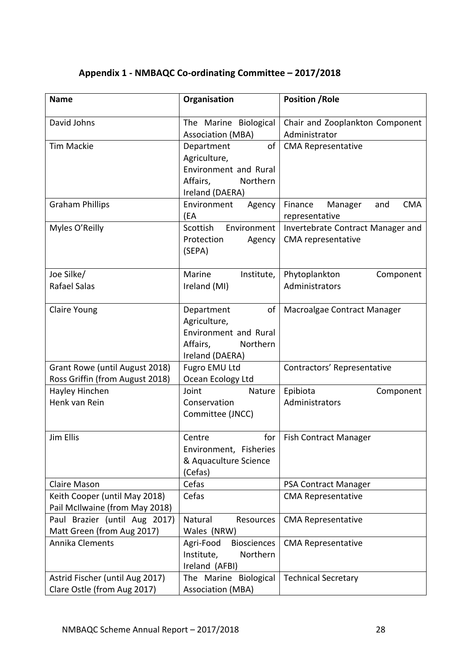| <b>Name</b>                                                       | Organisation                                                                                         | <b>Position / Role</b>                                    |  |  |
|-------------------------------------------------------------------|------------------------------------------------------------------------------------------------------|-----------------------------------------------------------|--|--|
| David Johns                                                       | The Marine Biological<br><b>Association (MBA)</b>                                                    | Chair and Zooplankton Component<br>Administrator          |  |  |
| Tim Mackie                                                        | Department<br>of<br>Agriculture,<br>Environment and Rural<br>Northern<br>Affairs,<br>Ireland (DAERA) | <b>CMA Representative</b>                                 |  |  |
| <b>Graham Phillips</b>                                            | Environment<br>Agency<br>(EA                                                                         | <b>CMA</b><br>Finance<br>Manager<br>and<br>representative |  |  |
| Myles O'Reilly                                                    | Scottish<br>Environment<br>Protection<br>Agency<br>(SEPA)                                            | Invertebrate Contract Manager and<br>CMA representative   |  |  |
| Joe Silke/<br>Rafael Salas                                        | Marine<br>Institute,<br>Ireland (MI)                                                                 | Phytoplankton<br>Component<br>Administrators              |  |  |
| Claire Young                                                      | Department<br>of<br>Agriculture,<br>Environment and Rural<br>Affairs,<br>Northern<br>Ireland (DAERA) | Macroalgae Contract Manager                               |  |  |
| Grant Rowe (until August 2018)<br>Ross Griffin (from August 2018) | Fugro EMU Ltd<br>Ocean Ecology Ltd                                                                   | Contractors' Representative                               |  |  |
| Hayley Hinchen<br>Henk van Rein                                   | Nature<br>Joint<br>Conservation<br>Committee (JNCC)                                                  | Epibiota<br>Component<br>Administrators                   |  |  |
| Jim Ellis                                                         | for<br>Centre<br>Environment, Fisheries<br>& Aquaculture Science<br>(Cefas)                          | <b>Fish Contract Manager</b>                              |  |  |
| <b>Claire Mason</b>                                               | Cefas                                                                                                | PSA Contract Manager                                      |  |  |
| Keith Cooper (until May 2018)<br>Pail McIlwaine (from May 2018)   | Cefas                                                                                                | <b>CMA Representative</b>                                 |  |  |
| Paul Brazier (until Aug 2017)<br>Matt Green (from Aug 2017)       | Natural<br>Resources<br>Wales (NRW)                                                                  | <b>CMA Representative</b>                                 |  |  |
| <b>Annika Clements</b>                                            | <b>Biosciences</b><br>Agri-Food<br>Northern<br>Institute,<br>Ireland (AFBI)                          | <b>CMA Representative</b>                                 |  |  |
| Astrid Fischer (until Aug 2017)                                   | The Marine Biological                                                                                | <b>Technical Secretary</b>                                |  |  |

Association (MBA)

## **Appendix 1 - NMBAQC Co-ordinating Committee – 2017/2018**

Clare Ostle (from Aug 2017)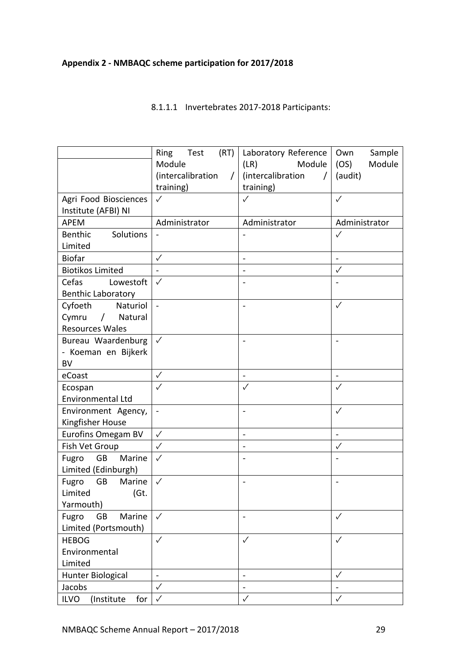## **Appendix 2 - NMBAQC scheme participation for 2017/2018**

### 8.1.1.1 Invertebrates 2017-2018 Participants:

|                                  | (RT)<br>Ring<br>Test          | Laboratory Reference          | Own<br>Sample                |
|----------------------------------|-------------------------------|-------------------------------|------------------------------|
|                                  | Module                        | Module<br>(LR)                | (OS)<br>Module               |
|                                  | (intercalibration<br>$\prime$ | (intercalibration<br>$\prime$ | (audit)                      |
|                                  | training)                     | training)                     |                              |
| Agri Food Biosciences            | $\checkmark$                  | $\checkmark$                  | $\checkmark$                 |
| Institute (AFBI) NI              |                               |                               |                              |
| APEM                             | Administrator                 | Administrator                 | Administrator                |
| Solutions<br><b>Benthic</b>      |                               |                               | $\checkmark$                 |
| Limited                          |                               |                               |                              |
| <b>Biofar</b>                    | $\checkmark$                  | $\blacksquare$                | $\overline{a}$               |
| <b>Biotikos Limited</b>          | $\blacksquare$                | $\bar{\phantom{a}}$           | $\checkmark$                 |
| Cefas<br>Lowestoft               | $\checkmark$                  | $\blacksquare$                |                              |
| <b>Benthic Laboratory</b>        |                               |                               |                              |
| Cyfoeth<br>Naturiol              | $\sim$                        | $\blacksquare$                | $\checkmark$                 |
| Cymru<br>Natural<br>$\sqrt{2}$   |                               |                               |                              |
| <b>Resources Wales</b>           |                               |                               |                              |
| Bureau Waardenburg               | $\checkmark$                  | $\blacksquare$                | $\overline{a}$               |
| - Koeman en Bijkerk              |                               |                               |                              |
| <b>BV</b>                        |                               |                               |                              |
| eCoast                           | $\checkmark$                  | $\blacksquare$                | $\blacksquare$               |
| Ecospan                          | $\checkmark$                  | $\checkmark$                  | $\checkmark$                 |
| Environmental Ltd                |                               |                               |                              |
| Environment Agency,              | $\blacksquare$                | $\qquad \qquad \blacksquare$  | $\checkmark$                 |
| Kingfisher House                 |                               |                               |                              |
| Eurofins Omegam BV               | $\checkmark$                  | ÷                             | $\qquad \qquad \blacksquare$ |
| Fish Vet Group                   | $\checkmark$                  | ۰                             | $\checkmark$                 |
| Fugro<br>GB<br>Marine            | $\checkmark$                  |                               |                              |
| Limited (Edinburgh)              |                               |                               |                              |
| Fugro<br><b>GB</b><br>Marine     | $\checkmark$                  | $\overline{\phantom{a}}$      | $\blacksquare$               |
| (Gt.<br>Limited                  |                               |                               |                              |
| Yarmouth)                        |                               |                               |                              |
| Fugro<br><b>GB</b><br>Marine     | $\checkmark$                  |                               | $\checkmark$                 |
| Limited (Portsmouth)             |                               |                               |                              |
| <b>HEBOG</b>                     | $\checkmark$                  | $\checkmark$                  | $\checkmark$                 |
| Environmental                    |                               |                               |                              |
| Limited                          |                               |                               |                              |
| <b>Hunter Biological</b>         |                               |                               | $\checkmark$                 |
| Jacobs                           | $\checkmark$                  | $\frac{1}{2}$                 |                              |
| <b>ILVO</b><br>(Institute<br>for | $\checkmark$                  | $\checkmark$                  | $\checkmark$                 |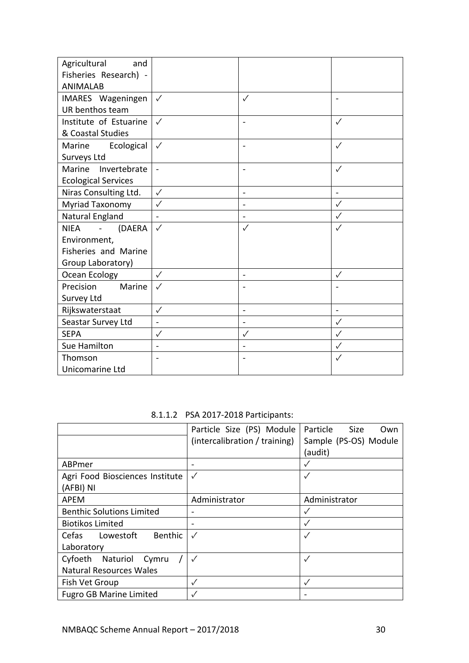| Agricultural<br>and               |                              |                          |              |
|-----------------------------------|------------------------------|--------------------------|--------------|
| Fisheries Research) -             |                              |                          |              |
| <b>ANIMALAB</b>                   |                              |                          |              |
| IMARES Wageningen                 | $\checkmark$                 | $\checkmark$             |              |
| UR benthos team                   |                              |                          |              |
| Institute of Estuarine            | $\checkmark$                 | $\overline{\phantom{a}}$ | $\checkmark$ |
| & Coastal Studies                 |                              |                          |              |
| Marine<br>Ecological              | $\checkmark$                 |                          | ✓            |
| Surveys Ltd                       |                              |                          |              |
| Marine<br>Invertebrate            | $\blacksquare$               | $\blacksquare$           | $\checkmark$ |
| <b>Ecological Services</b>        |                              |                          |              |
| Niras Consulting Ltd.             | $\checkmark$                 | L.                       |              |
| Myriad Taxonomy                   | $\checkmark$                 | $\blacksquare$           | $\checkmark$ |
| Natural England                   | $\overline{a}$               | $\overline{a}$           | $\checkmark$ |
| <b>NIEA</b><br>(DAERA<br>$\equiv$ | $\checkmark$                 | $\checkmark$             | ✓            |
| Environment,                      |                              |                          |              |
| Fisheries and Marine              |                              |                          |              |
| Group Laboratory)                 |                              |                          |              |
| Ocean Ecology                     | $\checkmark$                 | $\ddot{\phantom{1}}$     | $\checkmark$ |
| Marine<br>Precision               | $\checkmark$                 |                          |              |
| Survey Ltd                        |                              |                          |              |
| Rijkswaterstaat                   | $\checkmark$                 | $\mathbf{r}$             | ä,           |
| Seastar Survey Ltd                | $\qquad \qquad \blacksquare$ | $\blacksquare$           | $\checkmark$ |
| <b>SEPA</b>                       | $\checkmark$                 | $\checkmark$             | $\checkmark$ |
| Sue Hamilton                      |                              |                          | $\checkmark$ |
| Thomson                           |                              |                          | $\checkmark$ |
| Unicomarine Ltd                   |                              |                          |              |

8.1.1.2 PSA 2017-2018 Participants:

|                                  | Particle Size (PS) Module     | Particle<br>Size<br>Own |  |  |
|----------------------------------|-------------------------------|-------------------------|--|--|
|                                  | (intercalibration / training) | Sample (PS-OS) Module   |  |  |
|                                  |                               | (audit)                 |  |  |
| ABPmer                           |                               |                         |  |  |
| Agri Food Biosciences Institute  | $\checkmark$                  | $\checkmark$            |  |  |
| (AFBI) NI                        |                               |                         |  |  |
| APEM                             | Administrator                 | Administrator           |  |  |
| <b>Benthic Solutions Limited</b> |                               | $\checkmark$            |  |  |
| <b>Biotikos Limited</b>          |                               | $\sqrt{}$               |  |  |
| Benthic<br>Lowestoft<br>Cefas    | $\checkmark$                  | $\checkmark$            |  |  |
| Laboratory                       |                               |                         |  |  |
| Cyfoeth Naturiol<br>Cymru        | $\checkmark$                  | $\checkmark$            |  |  |
| <b>Natural Resources Wales</b>   |                               |                         |  |  |
| Fish Vet Group                   | $\checkmark$                  | $\checkmark$            |  |  |
| <b>Fugro GB Marine Limited</b>   |                               |                         |  |  |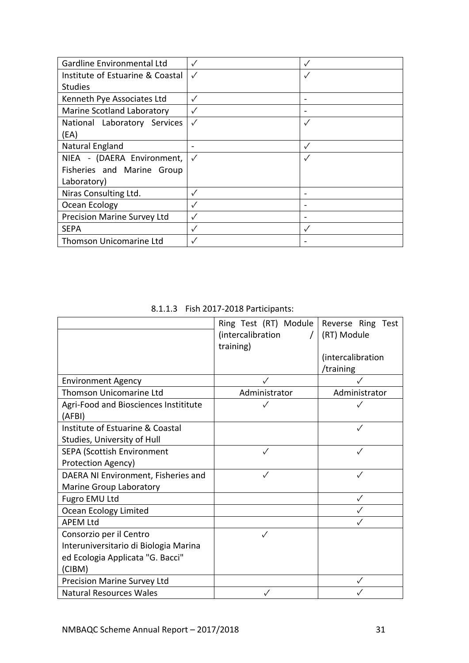| Gardline Environmental Ltd       |              |              |
|----------------------------------|--------------|--------------|
| Institute of Estuarine & Coastal | $\checkmark$ |              |
| <b>Studies</b>                   |              |              |
| Kenneth Pye Associates Ltd       | ✓            |              |
| Marine Scotland Laboratory       |              |              |
| National Laboratory Services     | $\checkmark$ | $\checkmark$ |
| (EA)                             |              |              |
| Natural England                  |              |              |
| NIEA - (DAERA Environment,       | $\checkmark$ |              |
| Fisheries and Marine Group       |              |              |
| Laboratory)                      |              |              |
| Niras Consulting Ltd.            |              |              |
| Ocean Ecology                    | ✓            |              |
| Precision Marine Survey Ltd      |              |              |
| <b>SEPA</b>                      |              |              |
| <b>Thomson Unicomarine Ltd</b>   |              |              |

8.1.1.3 Fish 2017-2018 Participants:

|                                       | Ring Test (RT) Module | Reverse Ring Test |
|---------------------------------------|-----------------------|-------------------|
|                                       | (intercalibration     | (RT) Module       |
|                                       | training)             |                   |
|                                       |                       | (intercalibration |
|                                       |                       | /training         |
| <b>Environment Agency</b>             |                       |                   |
| <b>Thomson Unicomarine Ltd</b>        | Administrator         | Administrator     |
| Agri-Food and Biosciences Instititute | ✓                     |                   |
| (AFBI)                                |                       |                   |
| Institute of Estuarine & Coastal      |                       |                   |
| Studies, University of Hull           |                       |                   |
| <b>SEPA (Scottish Environment</b>     | ✓                     | ✓                 |
| Protection Agency)                    |                       |                   |
| DAERA NI Environment, Fisheries and   |                       | ✓                 |
| Marine Group Laboratory               |                       |                   |
| Fugro EMU Ltd                         |                       | $\checkmark$      |
| Ocean Ecology Limited                 |                       |                   |
| <b>APEM Ltd</b>                       |                       |                   |
| Consorzio per il Centro               |                       |                   |
| Interuniversitario di Biologia Marina |                       |                   |
| ed Ecologia Applicata "G. Bacci"      |                       |                   |
| (CIBM)                                |                       |                   |
| Precision Marine Survey Ltd           |                       |                   |
| <b>Natural Resources Wales</b>        |                       |                   |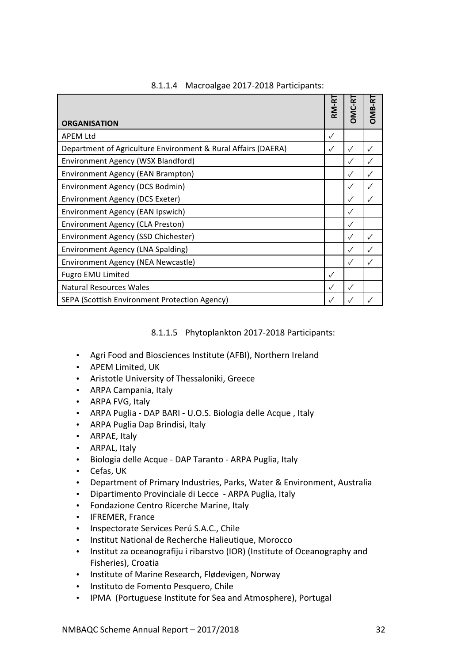|                                                               | RM-RT        | <b>DMC-RT</b> | <b>DMB-R1</b> |
|---------------------------------------------------------------|--------------|---------------|---------------|
| <b>ORGANISATION</b>                                           |              |               |               |
| <b>APEM Ltd</b>                                               | $\checkmark$ |               |               |
| Department of Agriculture Environment & Rural Affairs (DAERA) | $\checkmark$ | ✓             |               |
| Environment Agency (WSX Blandford)                            |              | $\checkmark$  |               |
| Environment Agency (EAN Brampton)                             |              | ✓             |               |
| Environment Agency (DCS Bodmin)                               |              | $\checkmark$  |               |
| Environment Agency (DCS Exeter)                               |              | ✓             |               |
| Environment Agency (EAN Ipswich)                              |              | ✓             |               |
| Environment Agency (CLA Preston)                              |              | ✓             |               |
| Environment Agency (SSD Chichester)                           |              | ✓             | $\checkmark$  |
| Environment Agency (LNA Spalding)                             |              | ✓             |               |
| Environment Agency (NEA Newcastle)                            |              | ✓             |               |
| Fugro EMU Limited                                             |              |               |               |
| <b>Natural Resources Wales</b>                                | ✓            | ✓             |               |
| SEPA (Scottish Environment Protection Agency)                 |              |               |               |

## 8.1.1.4 Macroalgae 2017-2018 Participants:

## 8.1.1.5 Phytoplankton 2017-2018 Participants:

- Agri Food and Biosciences Institute (AFBI), Northern Ireland
- APEM Limited, UK
- Aristotle University of Thessaloniki, Greece
- ARPA Campania, Italy
- ARPA FVG, Italy
- ARPA Puglia DAP BARI U.O.S. Biologia delle Acque, Italy
- ARPA Puglia Dap Brindisi, Italy
- ARPAE, Italy
- ARPAL, Italy
- Biologia delle Acque DAP Taranto ARPA Puglia, Italy
- Cefas, UK
- Department of Primary Industries, Parks, Water & Environment, Australia
- Dipartimento Provinciale di Lecce ARPA Puglia, Italy
- Fondazione Centro Ricerche Marine, Italy
- IFREMER, France
- Inspectorate Services Perú S.A.C., Chile
- Institut National de Recherche Halieutique, Morocco
- Institut za oceanografiju i ribarstvo (IOR) (Institute of Oceanography and Fisheries), Croatia
- Institute of Marine Research, Flødevigen, Norway
- Instituto de Fomento Pesquero, Chile
- IPMA (Portuguese Institute for Sea and Atmosphere), Portugal